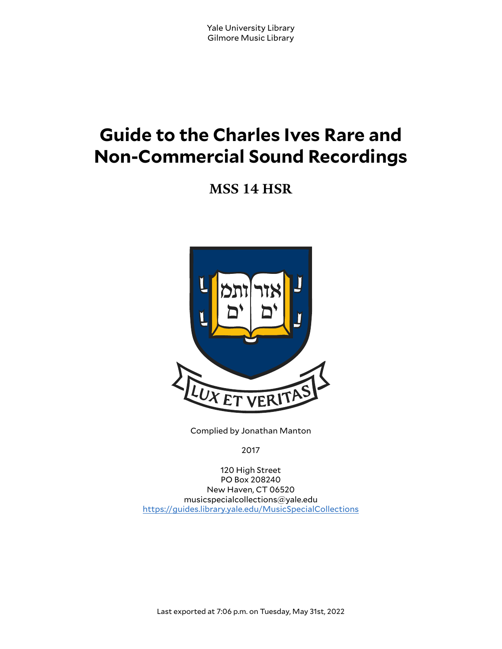# **Guide to the Charles Ives Rare and Non-Commercial Sound Recordings**

**MSS 14 HSR**



Complied by Jonathan Manton

2017

120 High Street PO Box 208240 New Haven, CT 06520 musicspecialcollections@yale.edu <https://guides.library.yale.edu/MusicSpecialCollections>

Last exported at 7:06 p.m. on Tuesday, May 31st, 2022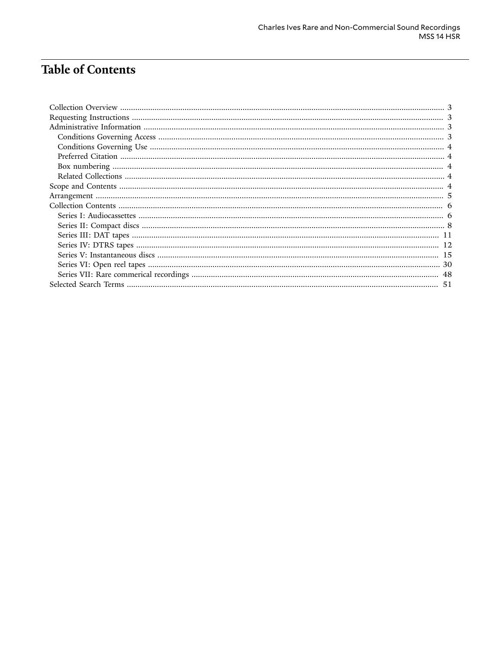# **Table of Contents**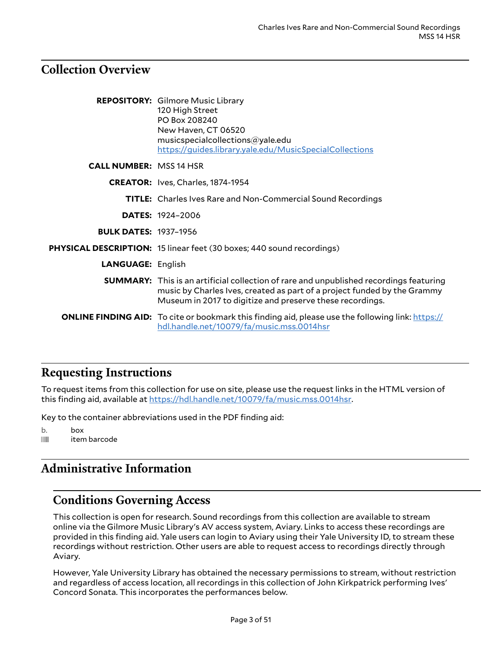## <span id="page-2-0"></span>**Collection Overview**

|                                | <b>REPOSITORY:</b> Gilmore Music Library<br>120 High Street<br>PO Box 208240<br>New Haven, CT 06520<br>musicspecialcollections@yale.edu<br>https://guides.library.yale.edu/MusicSpecialCollections                                     |
|--------------------------------|----------------------------------------------------------------------------------------------------------------------------------------------------------------------------------------------------------------------------------------|
| <b>CALL NUMBER: MSS 14 HSR</b> |                                                                                                                                                                                                                                        |
|                                | <b>CREATOR:</b> Ives, Charles, 1874-1954                                                                                                                                                                                               |
|                                | <b>TITLE:</b> Charles Ives Rare and Non-Commercial Sound Recordings                                                                                                                                                                    |
|                                | <b>DATES: 1924-2006</b>                                                                                                                                                                                                                |
| <b>BULK DATES: 1937-1956</b>   |                                                                                                                                                                                                                                        |
|                                | <b>PHYSICAL DESCRIPTION:</b> 15 linear feet (30 boxes; 440 sound recordings)                                                                                                                                                           |
| <b>LANGUAGE: English</b>       |                                                                                                                                                                                                                                        |
|                                | <b>SUMMARY:</b> This is an artificial collection of rare and unpublished recordings featuring<br>music by Charles Ives, created as part of a project funded by the Grammy<br>Museum in 2017 to digitize and preserve these recordings. |
|                                | <b>ONLINE FINDING AID:</b> To cite or bookmark this finding aid, please use the following link: https://<br>hdl.handle.net/10079/fa/music.mss.0014hsr                                                                                  |

#### <span id="page-2-1"></span>**Requesting Instructions**

To request items from this collection for use on site, please use the request links in the HTML version of this finding aid, available at [https://hdl.handle.net/10079/fa/music.mss.0014hsr.](https://hdl.handle.net/10079/fa/music.mss.0014hsr)

Key to the container abbreviations used in the PDF finding aid:

```
b. box
```

```
ifferm barcode
```
# <span id="page-2-2"></span>**Administrative Information**

#### <span id="page-2-3"></span>**Conditions Governing Access**

This collection is open for research. Sound recordings from this collection are available to stream online via the Gilmore Music Library's AV access system, Aviary. Links to access these recordings are provided in this finding aid. Yale users can login to Aviary using their Yale University ID, to stream these recordings without restriction. Other users are able to request access to recordings directly through Aviary.

However, Yale University Library has obtained the necessary permissions to stream, without restriction and regardless of access location, all recordings in this collection of John Kirkpatrick performing Ives' Concord Sonata. This incorporates the performances below.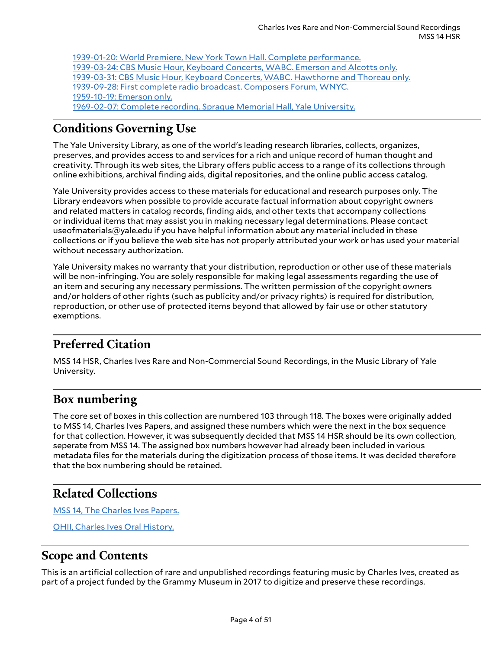1939-01-20: World Premiere, New York Town Hall. Complete [performance.](https://yalemusiclib.aviaryplatform.com/p/c2hhcmU1) [1939-03-24:](https://yalemusiclib.aviaryplatform.com/p/c2hhcmUxMg==) CBS Music Hour, Keyboard Concerts, WABC. Emerson and Alcotts only. 1939-03-31: CBS Music Hour, Keyboard Concerts, WABC. [Hawthorne](https://yalemusiclib.aviaryplatform.com/p/c2hhcmUxMQ==) and Thoreau only. [1939-09-28:](https://yalemusiclib.aviaryplatform.com/p/c2hhcmU4) First complete radio broadcast. Composers Forum, WNYC. [1959-10-19:](https://yalemusiclib.aviaryplatform.com/r/k06ww77649) Emerson only. [1969-02-07:](https://yalemusiclib.aviaryplatform.com/r/9c6rx93h6z) Complete recording. Sprague Memorial Hall, Yale University.

# <span id="page-3-0"></span>**Conditions Governing Use**

The Yale University Library, as one of the world's leading research libraries, collects, organizes, preserves, and provides access to and services for a rich and unique record of human thought and creativity. Through its web sites, the Library offers public access to a range of its collections through online exhibitions, archival finding aids, digital repositories, and the online public access catalog.

Yale University provides access to these materials for educational and research purposes only. The Library endeavors when possible to provide accurate factual information about copyright owners and related matters in catalog records, finding aids, and other texts that accompany collections or individual items that may assist you in making necessary legal determinations. Please contact useofmaterials@yale.edu if you have helpful information about any material included in these collections or if you believe the web site has not properly attributed your work or has used your material without necessary authorization.

Yale University makes no warranty that your distribution, reproduction or other use of these materials will be non-infringing. You are solely responsible for making legal assessments regarding the use of an item and securing any necessary permissions. The written permission of the copyright owners and/or holders of other rights (such as publicity and/or privacy rights) is required for distribution, reproduction, or other use of protected items beyond that allowed by fair use or other statutory exemptions.

# <span id="page-3-1"></span>**Preferred Citation**

MSS 14 HSR, Charles Ives Rare and Non-Commercial Sound Recordings, in the Music Library of Yale University.

## <span id="page-3-2"></span>**Box numbering**

The core set of boxes in this collection are numbered 103 through 118. The boxes were originally added to MSS 14, Charles Ives Papers, and assigned these numbers which were the next in the box sequence for that collection. However, it was subsequently decided that MSS 14 HSR should be its own collection, seperate from MSS 14. The assigned box numbers however had already been included in various metadata files for the materials during the digitization process of those items. It was decided therefore that the box numbering should be retained.

## <span id="page-3-3"></span>**Related Collections**

MSS 14, The [Charles](http://hdl.handle.net/10079/fa/music.mss.0014) Ives Papers.

OHII, Charles Ives Oral [History.](http://hdl.handle.net/10079/fa/oham.ohii)

## <span id="page-3-4"></span>**Scope and Contents**

This is an artificial collection of rare and unpublished recordings featuring music by Charles Ives, created as part of a project funded by the Grammy Museum in 2017 to digitize and preserve these recordings.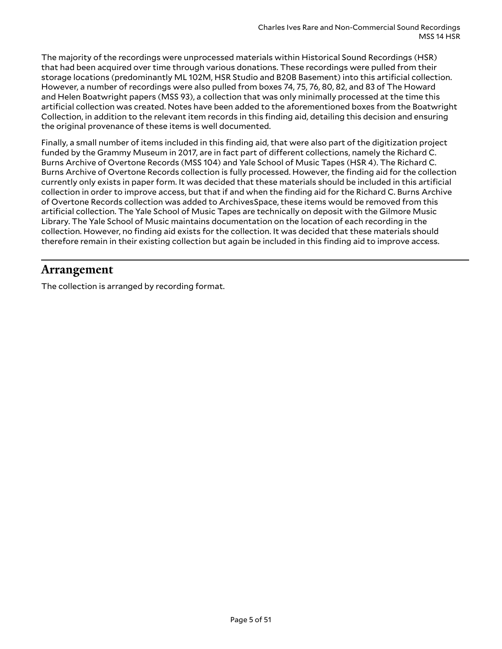The majority of the recordings were unprocessed materials within Historical Sound Recordings (HSR) that had been acquired over time through various donations. These recordings were pulled from their storage locations (predominantly ML 102M, HSR Studio and B20B Basement) into this artificial collection. However, a number of recordings were also pulled from boxes 74, 75, 76, 80, 82, and 83 of The Howard and Helen Boatwright papers (MSS 93), a collection that was only minimally processed at the time this artificial collection was created. Notes have been added to the aforementioned boxes from the Boatwright Collection, in addition to the relevant item records in this finding aid, detailing this decision and ensuring the original provenance of these items is well documented.

Finally, a small number of items included in this finding aid, that were also part of the digitization project funded by the Grammy Museum in 2017, are in fact part of different collections, namely the Richard C. Burns Archive of Overtone Records (MSS 104) and Yale School of Music Tapes (HSR 4). The Richard C. Burns Archive of Overtone Records collection is fully processed. However, the finding aid for the collection currently only exists in paper form. It was decided that these materials should be included in this artificial collection in order to improve access, but that if and when the finding aid for the Richard C. Burns Archive of Overtone Records collection was added to ArchivesSpace, these items would be removed from this artificial collection. The Yale School of Music Tapes are technically on deposit with the Gilmore Music Library. The Yale School of Music maintains documentation on the location of each recording in the collection. However, no finding aid exists for the collection. It was decided that these materials should therefore remain in their existing collection but again be included in this finding aid to improve access.

#### <span id="page-4-0"></span>**Arrangement**

The collection is arranged by recording format.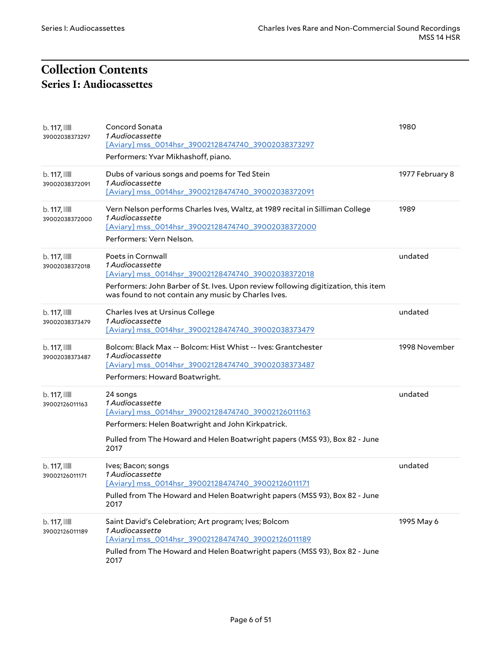# <span id="page-5-1"></span><span id="page-5-0"></span>**Collection Contents Series I: Audiocassettes**

| b. 117,<br>39002038373297      | Concord Sonata<br>1 Audiocassette<br>[Aviary] mss 0014hsr 39002128474740 39002038373297<br>Performers: Yvar Mikhashoff, piano.                                                                                                                 | 1980            |
|--------------------------------|------------------------------------------------------------------------------------------------------------------------------------------------------------------------------------------------------------------------------------------------|-----------------|
| b. 117,<br>39002038372091      | Dubs of various songs and poems for Ted Stein<br>1 Audiocassette<br>[Aviary] mss 0014hsr 39002128474740 39002038372091                                                                                                                         | 1977 February 8 |
| b. 117,<br>39002038372000      | Vern Nelson performs Charles Ives, Waltz, at 1989 recital in Silliman College<br><i>1 Audiocassette</i><br>[Aviary] mss_0014hsr_39002128474740_39002038372000<br>Performers: Vern Nelson.                                                      | 1989            |
| b. 117,<br>39002038372018      | Poets in Cornwall<br><i>1 Audiocassette</i><br>[Aviary] mss 0014hsr 39002128474740 39002038372018<br>Performers: John Barber of St. Ives. Upon review following digitization, this item<br>was found to not contain any music by Charles Ives. | undated         |
| b. 117,<br>39002038373479      | Charles Ives at Ursinus College<br>1 Audiocassette<br>[Aviary] mss_0014hsr_39002128474740_39002038373479                                                                                                                                       | undated         |
| b. 117,<br>39002038373487      | Bolcom: Black Max -- Bolcom: Hist Whist -- Ives: Grantchester<br><i>1 Audiocassette</i><br>[Aviary] mss_0014hsr_39002128474740_39002038373487<br>Performers: Howard Boatwright.                                                                | 1998 November   |
| b. 117,<br>39002126011163      | 24 songs<br>1 Audiocassette<br>[Aviary] mss 0014hsr 39002128474740 39002126011163<br>Performers: Helen Boatwright and John Kirkpatrick.<br>Pulled from The Howard and Helen Boatwright papers (MSS 93), Box 82 - June<br>2017                  | undated         |
| b. 117,<br>39002126011171      | Ives; Bacon; songs<br>1 Audiocassette<br>[Aviary] mss_0014hsr_39002128474740_39002126011171<br>Pulled from The Howard and Helen Boatwright papers (MSS 93), Box 82 - June<br>2017                                                              | undated         |
| b. 117, IIII<br>39002126011189 | Saint David's Celebration; Art program; Ives; Bolcom<br>1 Audiocassette<br>[Aviary] mss_0014hsr_39002128474740_39002126011189<br>Pulled from The Howard and Helen Boatwright papers (MSS 93), Box 82 - June<br>2017                            | 1995 May 6      |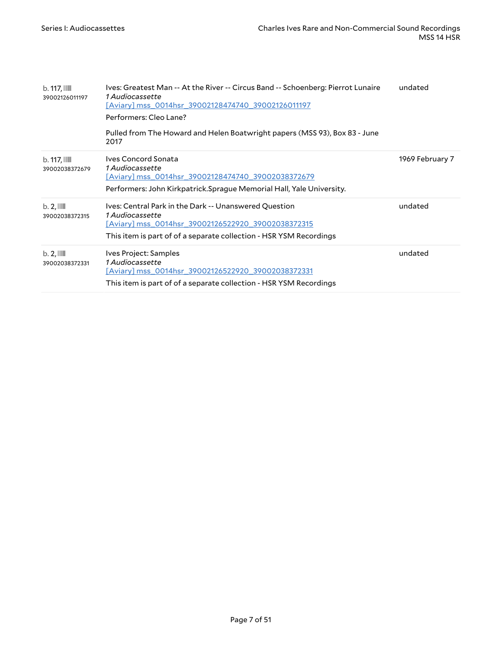| b. 117,<br>39002126011197                   | Ives: Greatest Man -- At the River -- Circus Band -- Schoenberg: Pierrot Lunaire<br><i>1 Audiocassette</i><br>[Aviary] mss_0014hsr_39002128474740_39002126011197<br>Performers: Cleo Lane?<br>Pulled from The Howard and Helen Boatwright papers (MSS 93), Box 83 - June<br>2017 | undated         |
|---------------------------------------------|----------------------------------------------------------------------------------------------------------------------------------------------------------------------------------------------------------------------------------------------------------------------------------|-----------------|
| $b. 117$ , $\blacksquare$<br>39002038372679 | Ives Concord Sonata<br><i>1 Audiocassette</i><br>[Aviary] mss_0014hsr_39002128474740_39002038372679<br>Performers: John Kirkpatrick.Sprague Memorial Hall, Yale University.                                                                                                      | 1969 February 7 |
| $b.2$ , $\mathbb{I}$<br>39002038372315      | Ives: Central Park in the Dark -- Unanswered Question<br><i>1 Audiocassette</i><br>[Aviary] mss 0014hsr 39002126522920 39002038372315<br>This item is part of of a separate collection - HSR YSM Recordings                                                                      | undated         |
| $b.2$ , $\mathbb{I}$<br>39002038372331      | Ives Project: Samples<br>1 Audiocassette<br>[Aviary] mss 0014hsr 39002126522920 39002038372331<br>This item is part of of a separate collection - HSR YSM Recordings                                                                                                             | undated         |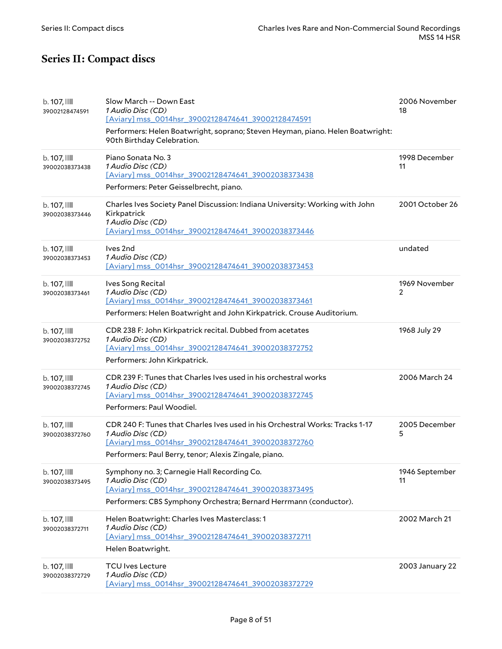# <span id="page-7-0"></span>**Series II: Compact discs**

| $b.107$ , $\blacksquare$<br>39002128474591 | Slow March -- Down East<br>1 Audio Disc (CD)<br>[Aviary] mss_0014hsr_39002128474641_39002128474591<br>Performers: Helen Boatwright, soprano; Steven Heyman, piano. Helen Boatwright:<br>90th Birthday Celebration. | 2006 November<br>18             |
|--------------------------------------------|--------------------------------------------------------------------------------------------------------------------------------------------------------------------------------------------------------------------|---------------------------------|
| $b.107$ , $\blacksquare$<br>39002038373438 | Piano Sonata No. 3<br>1 Audio Disc (CD)<br>[Aviary] mss_0014hsr_39002128474641_39002038373438<br>Performers: Peter Geisselbrecht, piano.                                                                           | 1998 December<br>11             |
| $b.107$ , $\blacksquare$<br>39002038373446 | Charles Ives Society Panel Discussion: Indiana University: Working with John<br>Kirkpatrick<br>1 Audio Disc (CD)<br>[Aviary] mss_0014hsr_39002128474641_39002038373446                                             | 2001 October 26                 |
| $b.107$ , $\blacksquare$<br>39002038373453 | Ives 2nd<br>1 Audio Disc (CD)<br>[Aviary] mss_0014hsr_39002128474641_39002038373453                                                                                                                                | undated                         |
| $b.107$ , $\blacksquare$<br>39002038373461 | Ives Song Recital<br>1 Audio Disc (CD)<br>[Aviary] mss 0014hsr 39002128474641 39002038373461<br>Performers: Helen Boatwright and John Kirkpatrick. Crouse Auditorium.                                              | 1969 November<br>$\overline{2}$ |
| b. 107, IIII<br>39002038372752             | CDR 238 F: John Kirkpatrick recital. Dubbed from acetates<br>1 Audio Disc (CD)<br>[Aviary] mss 0014hsr 39002128474641 39002038372752<br>Performers: John Kirkpatrick.                                              | 1968 July 29                    |
| $b.107$ , $\blacksquare$<br>39002038372745 | CDR 239 F: Tunes that Charles Ives used in his orchestral works<br>1 Audio Disc (CD)<br>[Aviary] mss_0014hsr_39002128474641_39002038372745<br>Performers: Paul Woodiel.                                            | 2006 March 24                   |
| $b.107$ , $\blacksquare$<br>39002038372760 | CDR 240 F: Tunes that Charles Ives used in his Orchestral Works: Tracks 1-17<br>1 Audio Disc (CD)<br>[Aviary] mss 0014hsr 39002128474641 39002038372760<br>Performers: Paul Berry, tenor; Alexis Zingale, piano.   | 2005 December<br>5              |
| $b.107$ , $\mathbb{III}$<br>39002038373495 | Symphony no. 3; Carnegie Hall Recording Co.<br>1 Audio Disc (CD)<br>[Aviary] mss_0014hsr_39002128474641_39002038373495<br>Performers: CBS Symphony Orchestra; Bernard Herrmann (conductor).                        | 1946 September<br>11            |
| $b.107$ , $\blacksquare$<br>39002038372711 | Helen Boatwright: Charles Ives Masterclass: 1<br>1 Audio Disc (CD)<br>[Aviary] mss 0014hsr 39002128474641 39002038372711<br>Helen Boatwright.                                                                      | 2002 March 21                   |
| $b.107$ , $\blacksquare$<br>39002038372729 | <b>TCU Ives Lecture</b><br>1 Audio Disc (CD)<br>[Aviary] mss_0014hsr_39002128474641_39002038372729                                                                                                                 | 2003 January 22                 |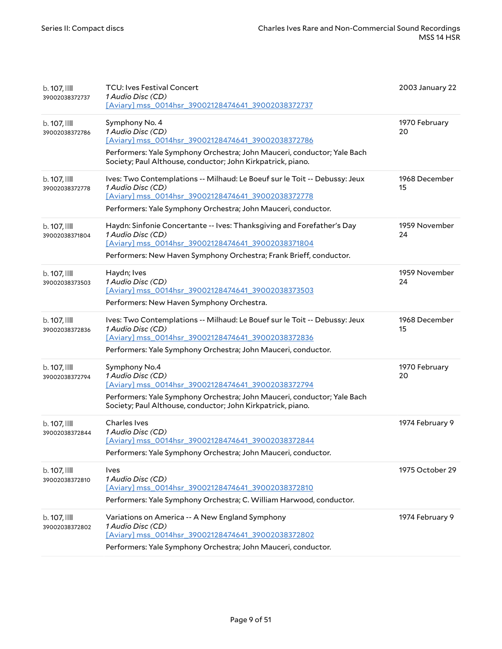| $b.107$ , $\blacksquare$<br>39002038372737 | <b>TCU: Ives Festival Concert</b><br>1 Audio Disc (CD)<br>[Aviary] mss_0014hsr_39002128474641_39002038372737                                                                                                                        | 2003 January 22     |
|--------------------------------------------|-------------------------------------------------------------------------------------------------------------------------------------------------------------------------------------------------------------------------------------|---------------------|
| $b.107$ , $\blacksquare$<br>39002038372786 | Symphony No. 4<br>1 Audio Disc (CD)<br>[Aviary] mss_0014hsr_39002128474641_39002038372786<br>Performers: Yale Symphony Orchestra; John Mauceri, conductor; Yale Bach<br>Society; Paul Althouse, conductor; John Kirkpatrick, piano. | 1970 February<br>20 |
| $b.107$ , $\blacksquare$<br>39002038372778 | Ives: Two Contemplations -- Milhaud: Le Boeuf sur le Toit -- Debussy: Jeux<br>1 Audio Disc (CD)<br>[Aviary] mss 0014hsr 39002128474641 39002038372778<br>Performers: Yale Symphony Orchestra; John Mauceri, conductor.              | 1968 December<br>15 |
| $b.107$ , $\blacksquare$<br>39002038371804 | Haydn: Sinfonie Concertante -- Ives: Thanksgiving and Forefather's Day<br>1 Audio Disc (CD)<br>[Aviary] mss 0014hsr 39002128474641 39002038371804<br>Performers: New Haven Symphony Orchestra; Frank Brieff, conductor.             | 1959 November<br>24 |
| $b.107$ , $\blacksquare$<br>39002038373503 | Haydn; Ives<br>1 Audio Disc (CD)<br>[Aviary] mss_0014hsr_39002128474641_39002038373503<br>Performers: New Haven Symphony Orchestra.                                                                                                 | 1959 November<br>24 |
| $b.107$ , $\blacksquare$<br>39002038372836 | Ives: Two Contemplations -- Milhaud: Le Bouef sur le Toit -- Debussy: Jeux<br>1 Audio Disc (CD)<br>[Aviary] mss 0014hsr 39002128474641 39002038372836<br>Performers: Yale Symphony Orchestra; John Mauceri, conductor.              | 1968 December<br>15 |
| $b.107$ , $\blacksquare$<br>39002038372794 | Symphony No.4<br>1 Audio Disc (CD)<br>[Aviary] mss 0014hsr 39002128474641 39002038372794<br>Performers: Yale Symphony Orchestra; John Mauceri, conductor; Yale Bach<br>Society; Paul Althouse, conductor; John Kirkpatrick, piano.  | 1970 February<br>20 |
| $b.107$ , $\blacksquare$<br>39002038372844 | <b>Charles Ives</b><br>1 Audio Disc (CD)<br>[Aviary] mss_0014hsr_39002128474641_39002038372844<br>Performers: Yale Symphony Orchestra; John Mauceri, conductor.                                                                     | 1974 February 9     |
| $b.107$ , $\blacksquare$<br>39002038372810 | <b>lves</b><br>1 Audio Disc (CD)<br>[Aviary] mss_0014hsr_39002128474641_39002038372810<br>Performers: Yale Symphony Orchestra; C. William Harwood, conductor.                                                                       | 1975 October 29     |
| $b.107$ , $\blacksquare$<br>39002038372802 | Variations on America -- A New England Symphony<br>1 Audio Disc (CD)<br>[Aviary] mss_0014hsr_39002128474641_39002038372802<br>Performers: Yale Symphony Orchestra; John Mauceri, conductor.                                         | 1974 February 9     |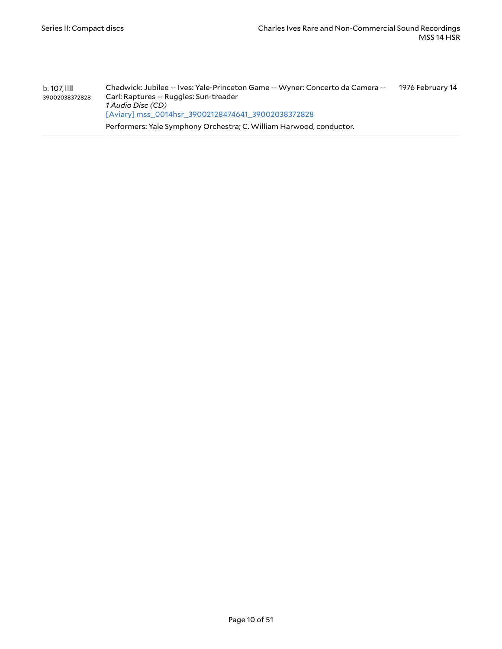b. 107, 39002038372828 Chadwick: Jubilee -- Ives: Yale-Princeton Game -- Wyner: Concerto da Camera -- Carl: Raptures -- Ruggles: Sun-treader *1 Audio Disc (CD)* [Aviary] [mss\\_0014hsr\\_39002128474641\\_39002038372828](https://yalemusiclib.aviaryplatform.com/r/f76639kd7b) Performers: Yale Symphony Orchestra; C. William Harwood, conductor. 1976 February 14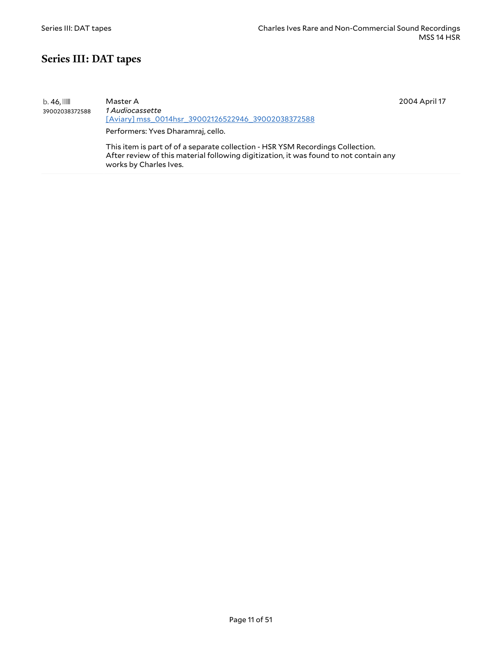#### <span id="page-10-0"></span>**Series III: DAT tapes**

| $b.46$ .<br>39002038372588 | Master A<br><i>1 Audiocassette</i>                 |
|----------------------------|----------------------------------------------------|
|                            | [Aviary] mss 0014hsr 39002126522946 39002038372588 |
|                            | Performers: Yves Dharamraj, cello.                 |

2004 April 17

This item is part of of a separate collection - HSR YSM Recordings Collection. After review of this material following digitization, it was found to not contain any works by Charles Ives.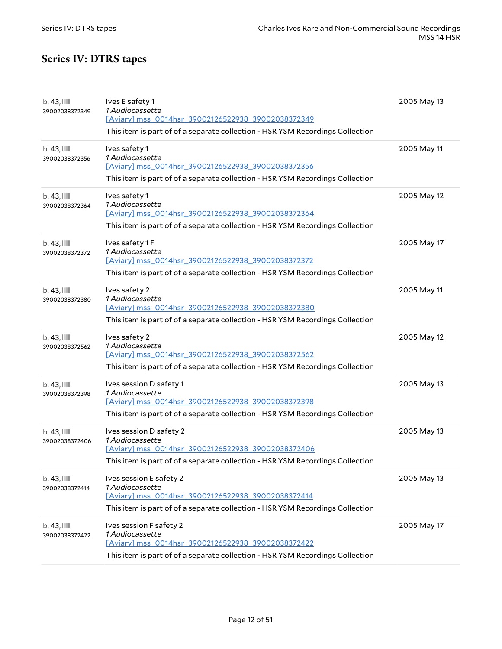### <span id="page-11-0"></span>**Series IV: DTRS tapes**

| $b.43$ , $111$<br>39002038372349 | Ives E safety 1<br>1 Audiocassette<br>[Aviary] mss_0014hsr_39002126522938_39002038372349<br>This item is part of of a separate collection - HSR YSM Recordings Collection                | 2005 May 13 |
|----------------------------------|------------------------------------------------------------------------------------------------------------------------------------------------------------------------------------------|-------------|
| $b.43$ , $111$<br>39002038372356 | Ives safety 1<br>1 Audiocassette<br>[Aviary] mss_0014hsr_39002126522938_39002038372356<br>This item is part of of a separate collection - HSR YSM Recordings Collection                  | 2005 May 11 |
| $b.43$ , $111$<br>39002038372364 | Ives safety 1<br><i>1 Audiocassette</i><br>[Aviary] mss_0014hsr_39002126522938_39002038372364<br>This item is part of of a separate collection - HSR YSM Recordings Collection           | 2005 May 12 |
| $b.43$ , $11$<br>39002038372372  | Ives safety 1F<br>1 Audiocassette<br>[Aviary] mss 0014hsr 39002126522938 39002038372372<br>This item is part of of a separate collection - HSR YSM Recordings Collection                 | 2005 May 17 |
| $b.43$ , $11$<br>39002038372380  | Ives safety 2<br>1 Audiocassette<br>[Aviary] mss 0014hsr 39002126522938 39002038372380<br>This item is part of of a separate collection - HSR YSM Recordings Collection                  | 2005 May 11 |
| $b.43$ , $III$<br>39002038372562 | Ives safety 2<br>1 Audiocassette<br>[Aviary] mss 0014hsr 39002126522938 39002038372562<br>This item is part of of a separate collection - HSR YSM Recordings Collection                  | 2005 May 12 |
| $b.43$ , $III$<br>39002038372398 | Ives session D safety 1<br>1 Audiocassette<br>[Aviary] mss 0014hsr 39002126522938 39002038372398<br>This item is part of of a separate collection - HSR YSM Recordings Collection        | 2005 May 13 |
| $b.43$ , $III$<br>39002038372406 | Ives session D safety 2<br>1 Audiocassette<br>[Aviary] mss_0014hsr_39002126522938_39002038372406<br>This item is part of of a separate collection - HSR YSM Recordings Collection        | 2005 May 13 |
| $b.43$ , $11$<br>39002038372414  | Ives session E safety 2<br>1 Audiocassette<br>[Aviary] mss_0014hsr_39002126522938_39002038372414<br>This item is part of of a separate collection - HSR YSM Recordings Collection        | 2005 May 13 |
| $b.43$ , $III$<br>39002038372422 | Ives session F safety 2<br><i>1 Audiocassette</i><br>[Aviary] mss 0014hsr 39002126522938 39002038372422<br>This item is part of of a separate collection - HSR YSM Recordings Collection | 2005 May 17 |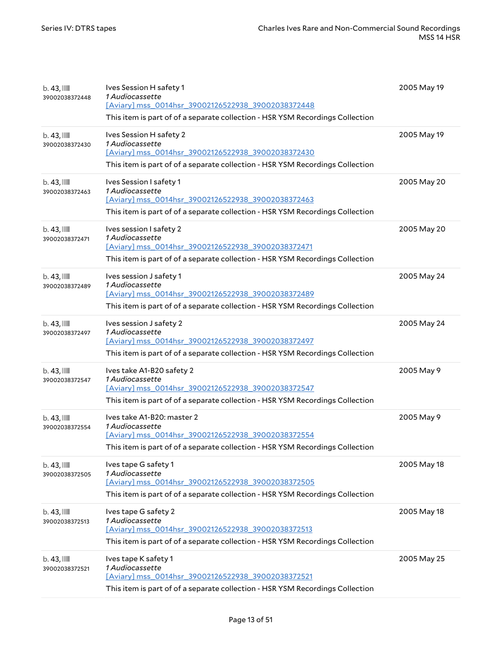| $b.43$ , $\blacksquare$<br>39002038372448 | Ives Session H safety 1<br><i>1 Audiocassette</i><br>[Aviary] mss_0014hsr_39002126522938_39002038372448<br>This item is part of of a separate collection - HSR YSM Recordings Collection | 2005 May 19 |
|-------------------------------------------|------------------------------------------------------------------------------------------------------------------------------------------------------------------------------------------|-------------|
| $b.43$ , $11$<br>39002038372430           | Ives Session H safety 2<br><i>1 Audiocassette</i><br>[Aviary] mss 0014hsr 39002126522938 39002038372430<br>This item is part of of a separate collection - HSR YSM Recordings Collection | 2005 May 19 |
| $b.43$ , $\blacksquare$<br>39002038372463 | Ives Session I safety 1<br>1 Audiocassette<br>[Aviary] mss 0014hsr 39002126522938 39002038372463<br>This item is part of of a separate collection - HSR YSM Recordings Collection        | 2005 May 20 |
| $b.43$ , $III$<br>39002038372471          | Ives session I safety 2<br>1 Audiocassette<br>[Aviary] mss_0014hsr_39002126522938_39002038372471<br>This item is part of of a separate collection - HSR YSM Recordings Collection        | 2005 May 20 |
| $b.43$ , $III$<br>39002038372489          | Ives session J safety 1<br>1 Audiocassette<br>[Aviary] mss_0014hsr_39002126522938_39002038372489<br>This item is part of of a separate collection - HSR YSM Recordings Collection        | 2005 May 24 |
| $b.43$ , $111$<br>39002038372497          | Ives session J safety 2<br>1 Audiocassette<br>[Aviary] mss_0014hsr_39002126522938_39002038372497<br>This item is part of of a separate collection - HSR YSM Recordings Collection        | 2005 May 24 |
| $b.43$ , $\blacksquare$<br>39002038372547 | Ives take A1-B20 safety 2<br>1 Audiocassette<br>[Aviary] mss 0014hsr 39002126522938 39002038372547<br>This item is part of of a separate collection - HSR YSM Recordings Collection      | 2005 May 9  |
| $b.43$ , $11$<br>39002038372554           | Ives take A1-B20: master 2<br>1 Audiocassette<br>[Aviary] mss_0014hsr_39002126522938_39002038372554<br>This item is part of of a separate collection - HSR YSM Recordings Collection     | 2005 May 9  |
| $b.43$ , $\blacksquare$<br>39002038372505 | Ives tape G safety 1<br>1 Audiocassette<br>[Aviary] mss_0014hsr_39002126522938_39002038372505<br>This item is part of of a separate collection - HSR YSM Recordings Collection           | 2005 May 18 |
| $b.43$ , $\blacksquare$<br>39002038372513 | Ives tape G safety 2<br>1 Audiocassette<br>[Aviary] mss 0014hsr 39002126522938 39002038372513<br>This item is part of of a separate collection - HSR YSM Recordings Collection           | 2005 May 18 |
| $b.43$ , $III$<br>39002038372521          | Ives tape K safety 1<br>1 Audiocassette<br>[Aviary] mss_0014hsr_39002126522938_39002038372521<br>This item is part of of a separate collection - HSR YSM Recordings Collection           | 2005 May 25 |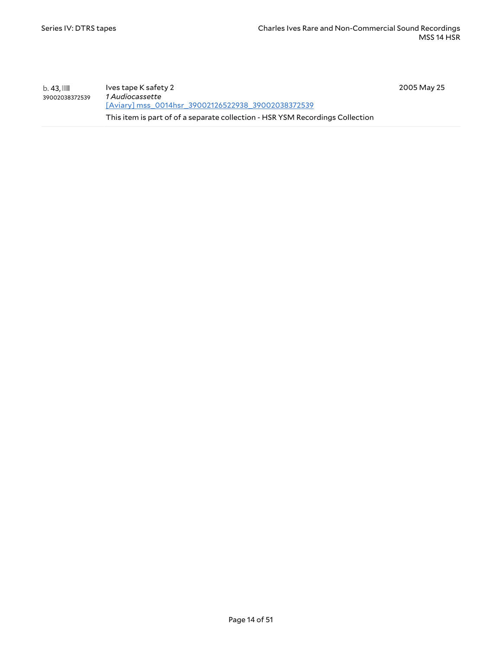2005 May 25

| b. 43.<br>39002038372539 | Ives tape K safety 2<br>1 Audiocassette                                       |
|--------------------------|-------------------------------------------------------------------------------|
|                          | [Aviary] mss_0014hsr_39002126522938_39002038372539                            |
|                          | This item is part of of a separate collection - HSR YSM Recordings Collection |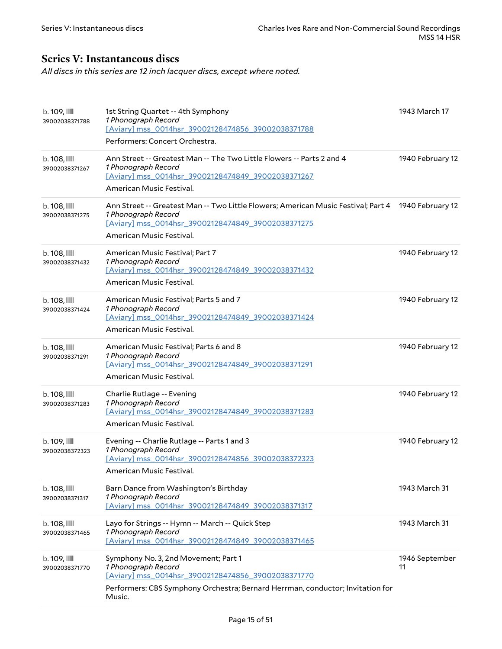#### <span id="page-14-0"></span>**Series V: Instantaneous discs**

*All discs in this series are 12 inch lacquer discs, except where noted.*

| $b.109$ , $III$<br>39002038371788          | 1st String Quartet -- 4th Symphony<br>1 Phonograph Record<br>[Aviary] mss_0014hsr_39002128474856_39002038371788<br>Performers: Concert Orchestra.                                                             | 1943 March 17        |
|--------------------------------------------|---------------------------------------------------------------------------------------------------------------------------------------------------------------------------------------------------------------|----------------------|
| $b.108$ , $III$<br>39002038371267          | Ann Street -- Greatest Man -- The Two Little Flowers -- Parts 2 and 4<br>1 Phonograph Record<br>[Aviary] mss_0014hsr_39002128474849_39002038371267<br>American Music Festival.                                | 1940 February 12     |
| $b.108$ , $III$<br>39002038371275          | Ann Street -- Greatest Man -- Two Little Flowers; American Music Festival; Part 4<br>1 Phonograph Record<br>[Aviary] mss_0014hsr_39002128474849_39002038371275<br>American Music Festival.                    | 1940 February 12     |
| $b.108$ , $\blacksquare$<br>39002038371432 | American Music Festival; Part 7<br>1 Phonograph Record<br>[Aviary] mss 0014hsr 39002128474849 39002038371432<br>American Music Festival.                                                                      | 1940 February 12     |
| $b.108$ , $III$<br>39002038371424          | American Music Festival; Parts 5 and 7<br>1 Phonograph Record<br>[Aviary] mss 0014hsr 39002128474849 39002038371424<br>American Music Festival.                                                               | 1940 February 12     |
| $b.108$ , $III$<br>39002038371291          | American Music Festival; Parts 6 and 8<br>1 Phonograph Record<br>[Aviary] mss_0014hsr_39002128474849_39002038371291<br>American Music Festival.                                                               | 1940 February 12     |
| $b.108$ , $III$<br>39002038371283          | Charlie Rutlage -- Evening<br>1 Phonograph Record<br>[Aviary] mss_0014hsr_39002128474849_39002038371283<br>American Music Festival.                                                                           | 1940 February 12     |
| $b.109$ , $III$<br>39002038372323          | Evening -- Charlie Rutlage -- Parts 1 and 3<br>1 Phonograph Record<br>[Aviary] mss_0014hsr_39002128474856_39002038372323<br>American Music Festival.                                                          | 1940 February 12     |
| $b.108$ , $III$<br>39002038371317          | Barn Dance from Washington's Birthday<br>1 Phonograph Record<br>[Aviary] mss 0014hsr 39002128474849 39002038371317                                                                                            | 1943 March 31        |
| $b.108$ , $\blacksquare$<br>39002038371465 | Layo for Strings -- Hymn -- March -- Quick Step<br>1 Phonograph Record<br>[Aviary] mss 0014hsr 39002128474849 39002038371465                                                                                  | 1943 March 31        |
| $b.109$ , $III$<br>39002038371770          | Symphony No. 3, 2nd Movement; Part 1<br>1 Phonograph Record<br>[Aviary] mss 0014hsr 39002128474856 39002038371770<br>Performers: CBS Symphony Orchestra; Bernard Herrman, conductor; Invitation for<br>Music. | 1946 September<br>11 |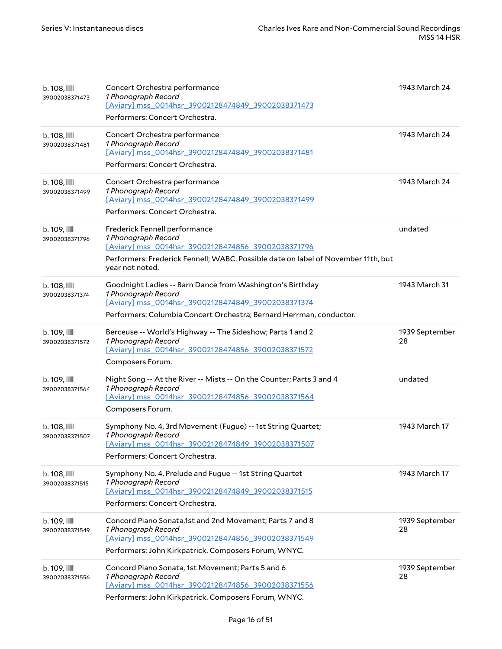| $b.108$ , $III$<br>39002038371473          | Concert Orchestra performance<br>1 Phonograph Record<br>[Aviary] mss_0014hsr_39002128474849_39002038371473<br>Performers: Concert Orchestra.                                                                       | 1943 March 24        |
|--------------------------------------------|--------------------------------------------------------------------------------------------------------------------------------------------------------------------------------------------------------------------|----------------------|
| $b.108$ , $III$<br>39002038371481          | Concert Orchestra performance<br>1 Phonograph Record<br>[Aviary] mss 0014hsr 39002128474849 39002038371481<br>Performers: Concert Orchestra.                                                                       | 1943 March 24        |
| $b.108$ , $\blacksquare$<br>39002038371499 | Concert Orchestra performance<br>1 Phonograph Record<br>[Aviary] mss 0014hsr 39002128474849 39002038371499<br>Performers: Concert Orchestra.                                                                       | 1943 March 24        |
| b. 109, III<br>39002038371796              | Frederick Fennell performance<br>1 Phonograph Record<br>[Aviary] mss 0014hsr 39002128474856 39002038371796<br>Performers: Frederick Fennell; WABC. Possible date on label of November 11th, but<br>year not noted. | undated              |
| $b.108$ , $III$<br>39002038371374          | Goodnight Ladies -- Barn Dance from Washington's Birthday<br>1 Phonograph Record<br>[Aviary] mss 0014hsr 39002128474849 39002038371374<br>Performers: Columbia Concert Orchestra; Bernard Herrman, conductor.      | 1943 March 31        |
| $b.109$ , $III$<br>39002038371572          | Berceuse -- World's Highway -- The Sideshow; Parts 1 and 2<br>1 Phonograph Record<br>[Aviary] mss_0014hsr_39002128474856_39002038371572<br>Composers Forum.                                                        | 1939 September<br>28 |
| $b.109$ , $III$<br>39002038371564          | Night Song -- At the River -- Mists -- On the Counter; Parts 3 and 4<br>1 Phonograph Record<br>[Aviary] mss_0014hsr_39002128474856_39002038371564<br>Composers Forum.                                              | undated              |
| $b.108$ , $III$<br>39002038371507          | Symphony No. 4, 3rd Movement (Fugue) -- 1st String Quartet;<br>1 Phonograph Record<br>[Aviary] mss_0014hsr_39002128474849_39002038371507<br>Performers: Concert Orchestra.                                         | 1943 March 17        |
| $b.108$ , $III$<br>39002038371515          | Symphony No. 4, Prelude and Fugue -- 1st String Quartet<br>1 Phonograph Record<br>[Aviary] mss_0014hsr_39002128474849_39002038371515<br>Performers: Concert Orchestra.                                             | 1943 March 17        |
| $b.109$ , $\blacksquare$<br>39002038371549 | Concord Piano Sonata, 1st and 2nd Movement; Parts 7 and 8<br>1 Phonograph Record<br>[Aviary] mss_0014hsr_39002128474856_39002038371549<br>Performers: John Kirkpatrick. Composers Forum, WNYC.                     | 1939 September<br>28 |
| $b.109$ , $III$<br>39002038371556          | Concord Piano Sonata, 1st Movement; Parts 5 and 6<br>1 Phonograph Record<br>[Aviary] mss 0014hsr 39002128474856 39002038371556<br>Performers: John Kirkpatrick. Composers Forum, WNYC.                             | 1939 September<br>28 |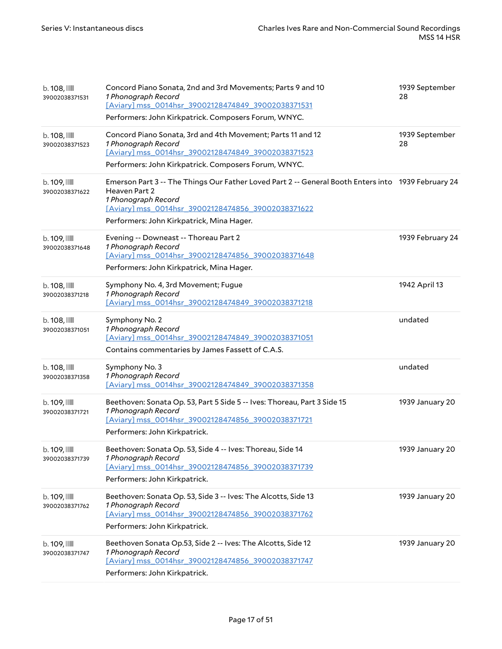| $b.108$ , $III$<br>39002038371531          | Concord Piano Sonata, 2nd and 3rd Movements; Parts 9 and 10<br>1 Phonograph Record<br>[Aviary] mss 0014hsr 39002128474849 39002038371531<br>Performers: John Kirkpatrick. Composers Forum, WNYC.                                              | 1939 September<br>28 |
|--------------------------------------------|-----------------------------------------------------------------------------------------------------------------------------------------------------------------------------------------------------------------------------------------------|----------------------|
| $b.108$ , $\blacksquare$<br>39002038371523 | Concord Piano Sonata, 3rd and 4th Movement; Parts 11 and 12<br>1 Phonograph Record<br>[Aviary] mss 0014hsr 39002128474849 39002038371523<br>Performers: John Kirkpatrick. Composers Forum, WNYC.                                              | 1939 September<br>28 |
| $b.109$ , $III$<br>39002038371622          | Emerson Part 3 -- The Things Our Father Loved Part 2 -- General Booth Enters into 1939 February 24<br>Heaven Part 2<br>1 Phonograph Record<br>[Aviary] mss 0014hsr 39002128474856 39002038371622<br>Performers: John Kirkpatrick, Mina Hager. |                      |
| b. 109, III<br>39002038371648              | Evening -- Downeast -- Thoreau Part 2<br>1 Phonograph Record<br>[Aviary] mss_0014hsr_39002128474856_39002038371648<br>Performers: John Kirkpatrick, Mina Hager.                                                                               | 1939 February 24     |
| $b.108$ , $III$<br>39002038371218          | Symphony No. 4, 3rd Movement; Fugue<br>1 Phonograph Record<br>[Aviary] mss 0014hsr 39002128474849 39002038371218                                                                                                                              | 1942 April 13        |
| $b.108$ , $III$<br>39002038371051          | Symphony No. 2<br>1 Phonograph Record<br>[Aviary] mss 0014hsr 39002128474849 39002038371051<br>Contains commentaries by James Fassett of C.A.S.                                                                                               | undated              |
| $b.108$ , $\blacksquare$<br>39002038371358 | Symphony No. 3<br>1 Phonograph Record<br>[Aviary] mss 0014hsr 39002128474849 39002038371358                                                                                                                                                   | undated              |
| $b.109$ , $III$<br>39002038371721          | Beethoven: Sonata Op. 53, Part 5 Side 5 -- Ives: Thoreau, Part 3 Side 15<br>1 Phonograph Record<br>[Aviary] mss_0014hsr_39002128474856_39002038371721<br>Performers: John Kirkpatrick.                                                        | 1939 January 20      |
| $b.109$ , $III$<br>39002038371739          | Beethoven: Sonata Op. 53, Side 4 -- Ives: Thoreau, Side 14<br>1 Phonograph Record<br>[Aviary] mss_0014hsr_39002128474856_39002038371739<br>Performers: John Kirkpatrick.                                                                      | 1939 January 20      |
| $b.109$ , $III$<br>39002038371762          | Beethoven: Sonata Op. 53, Side 3 -- Ives: The Alcotts, Side 13<br>1 Phonograph Record<br>[Aviary] mss 0014hsr 39002128474856 39002038371762<br>Performers: John Kirkpatrick.                                                                  | 1939 January 20      |
| b. 109, III<br>39002038371747              | Beethoven Sonata Op.53, Side 2 -- Ives: The Alcotts, Side 12<br>1 Phonograph Record<br>[Aviary] mss_0014hsr_39002128474856_39002038371747<br>Performers: John Kirkpatrick.                                                                    | 1939 January 20      |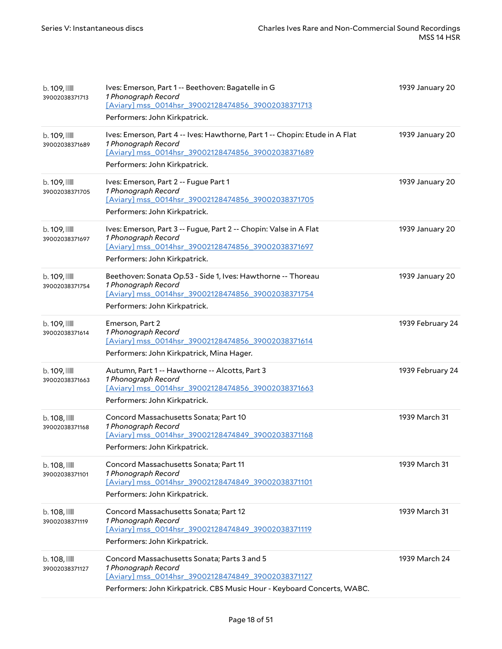| $b.109$ , $III$<br>39002038371713 | Ives: Emerson, Part 1 -- Beethoven: Bagatelle in G<br>1 Phonograph Record<br>[Aviary] mss_0014hsr_39002128474856_39002038371713<br>Performers: John Kirkpatrick.                                    | 1939 January 20  |
|-----------------------------------|-----------------------------------------------------------------------------------------------------------------------------------------------------------------------------------------------------|------------------|
| $b.109$ , $III$<br>39002038371689 | Ives: Emerson, Part 4 -- Ives: Hawthorne, Part 1 -- Chopin: Etude in A Flat<br>1 Phonograph Record<br>[Aviary] mss_0014hsr_39002128474856_39002038371689<br>Performers: John Kirkpatrick.           | 1939 January 20  |
| $b.109$ , $III$<br>39002038371705 | Ives: Emerson, Part 2 -- Fugue Part 1<br>1 Phonograph Record<br>[Aviary] mss 0014hsr 39002128474856 39002038371705<br>Performers: John Kirkpatrick.                                                 | 1939 January 20  |
| $b.109$ , $III$<br>39002038371697 | Ives: Emerson, Part 3 -- Fugue, Part 2 -- Chopin: Valse in A Flat<br>1 Phonograph Record<br>[Aviary] mss_0014hsr_39002128474856_39002038371697<br>Performers: John Kirkpatrick.                     | 1939 January 20  |
| b. 109, IIII<br>39002038371754    | Beethoven: Sonata Op.53 - Side 1, Ives: Hawthorne -- Thoreau<br>1 Phonograph Record<br>[Aviary] mss_0014hsr_39002128474856_39002038371754<br>Performers: John Kirkpatrick.                          | 1939 January 20  |
| $b.109$ , $III$<br>39002038371614 | Emerson, Part 2<br>1 Phonograph Record<br>[Aviary] mss_0014hsr_39002128474856_39002038371614<br>Performers: John Kirkpatrick, Mina Hager.                                                           | 1939 February 24 |
| $b.109$ , $III$<br>39002038371663 | Autumn, Part 1 -- Hawthorne -- Alcotts, Part 3<br>1 Phonograph Record<br>[Aviary] mss_0014hsr_39002128474856_39002038371663<br>Performers: John Kirkpatrick.                                        | 1939 February 24 |
| $b.108$ , $III$<br>39002038371168 | Concord Massachusetts Sonata; Part 10<br>1 Phonograph Record<br>[Aviary] mss 0014hsr 39002128474849 39002038371168<br>Performers: John Kirkpatrick.                                                 | 1939 March 31    |
| $b.108$ , $III$<br>39002038371101 | Concord Massachusetts Sonata; Part 11<br>1 Phonograph Record<br>[Aviary] mss 0014hsr 39002128474849 39002038371101<br>Performers: John Kirkpatrick.                                                 | 1939 March 31    |
| $b.108$ , $III$<br>39002038371119 | Concord Massachusetts Sonata; Part 12<br>1 Phonograph Record<br>[Aviary] mss_0014hsr_39002128474849_39002038371119<br>Performers: John Kirkpatrick.                                                 | 1939 March 31    |
| $b.108$ , $III$<br>39002038371127 | Concord Massachusetts Sonata; Parts 3 and 5<br>1 Phonograph Record<br>[Aviary] mss_0014hsr_39002128474849_39002038371127<br>Performers: John Kirkpatrick. CBS Music Hour - Keyboard Concerts, WABC. | 1939 March 24    |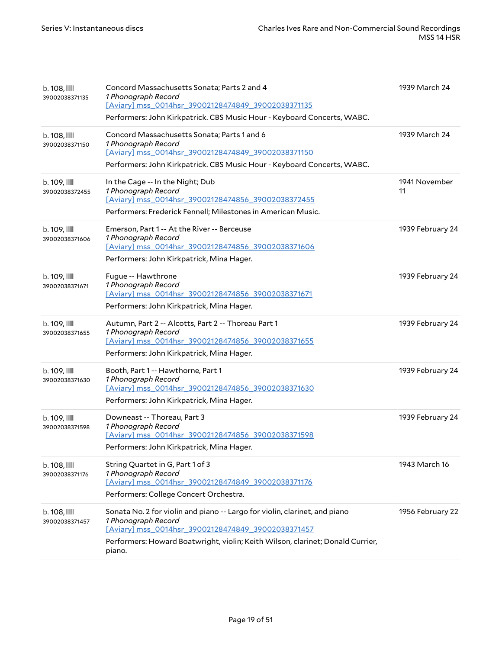| $b.108$ , $III$<br>39002038371135          | Concord Massachusetts Sonata; Parts 2 and 4<br>1 Phonograph Record<br>[Aviary] mss 0014hsr 39002128474849 39002038371135<br>Performers: John Kirkpatrick. CBS Music Hour - Keyboard Concerts, WABC.                                                 | 1939 March 24       |
|--------------------------------------------|-----------------------------------------------------------------------------------------------------------------------------------------------------------------------------------------------------------------------------------------------------|---------------------|
| $b.108$ , $\blacksquare$<br>39002038371150 | Concord Massachusetts Sonata; Parts 1 and 6<br>1 Phonograph Record<br>[Aviary] mss 0014hsr 39002128474849 39002038371150<br>Performers: John Kirkpatrick. CBS Music Hour - Keyboard Concerts, WABC.                                                 | 1939 March 24       |
| $b.109$ , $III$<br>39002038372455          | In the Cage -- In the Night; Dub<br>1 Phonograph Record<br>[Aviary] mss 0014hsr 39002128474856 39002038372455<br>Performers: Frederick Fennell; Milestones in American Music.                                                                       | 1941 November<br>11 |
| b. 109, III<br>39002038371606              | Emerson, Part 1 -- At the River -- Berceuse<br>1 Phonograph Record<br>[Aviary] mss_0014hsr_39002128474856_39002038371606<br>Performers: John Kirkpatrick, Mina Hager.                                                                               | 1939 February 24    |
| b. 109, III<br>39002038371671              | Fugue -- Hawthrone<br>1 Phonograph Record<br>[Aviary] mss 0014hsr 39002128474856 39002038371671<br>Performers: John Kirkpatrick, Mina Hager.                                                                                                        | 1939 February 24    |
| b. 109, III<br>39002038371655              | Autumn, Part 2 -- Alcotts, Part 2 -- Thoreau Part 1<br>1 Phonograph Record<br>[Aviary] mss 0014hsr 39002128474856 39002038371655<br>Performers: John Kirkpatrick, Mina Hager.                                                                       | 1939 February 24    |
| b. 109, IIII<br>39002038371630             | Booth, Part 1 -- Hawthorne, Part 1<br>1 Phonograph Record<br>[Aviary] mss 0014hsr 39002128474856 39002038371630<br>Performers: John Kirkpatrick, Mina Hager.                                                                                        | 1939 February 24    |
| $b.109$ , $III$<br>39002038371598          | Downeast -- Thoreau, Part 3<br>1 Phonograph Record<br>[Aviary] mss 0014hsr 39002128474856 39002038371598<br>Performers: John Kirkpatrick, Mina Hager.                                                                                               | 1939 February 24    |
| $b.108$ , $III$<br>39002038371176          | String Quartet in G, Part 1 of 3<br>1 Phonograph Record<br>[Aviary] mss_0014hsr_39002128474849_39002038371176<br>Performers: College Concert Orchestra.                                                                                             | 1943 March 16       |
| $b.108$ , $III$<br>39002038371457          | Sonata No. 2 for violin and piano -- Largo for violin, clarinet, and piano<br>1 Phonograph Record<br>[Aviary] mss_0014hsr_39002128474849_39002038371457<br>Performers: Howard Boatwright, violin; Keith Wilson, clarinet; Donald Currier,<br>piano. | 1956 February 22    |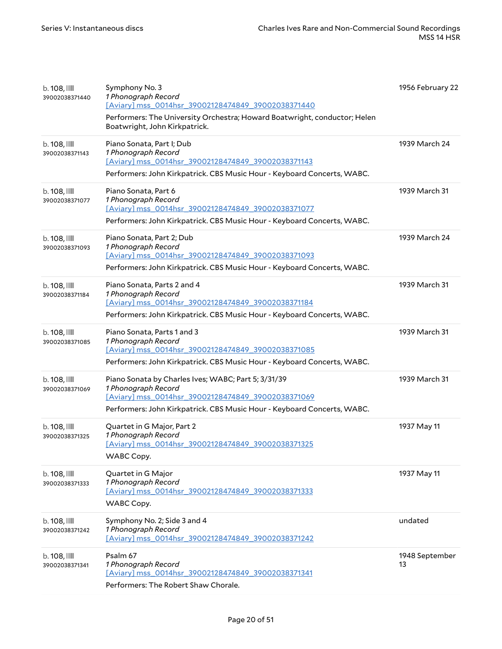| $b.108$ , $III$<br>39002038371440 | Symphony No. 3<br>1 Phonograph Record<br>[Aviary] mss 0014hsr 39002128474849 39002038371440<br>Performers: The University Orchestra; Howard Boatwright, conductor; Helen<br>Boatwright, John Kirkpatrick.   | 1956 February 22     |
|-----------------------------------|-------------------------------------------------------------------------------------------------------------------------------------------------------------------------------------------------------------|----------------------|
| $b.108$ , $III$<br>39002038371143 | Piano Sonata, Part I; Dub<br>1 Phonograph Record<br>[Aviary] mss 0014hsr 39002128474849 39002038371143<br>Performers: John Kirkpatrick. CBS Music Hour - Keyboard Concerts, WABC.                           | 1939 March 24        |
| $b.108$ , $III$<br>39002038371077 | Piano Sonata, Part 6<br>1 Phonograph Record<br>[Aviary] mss 0014hsr 39002128474849 39002038371077<br>Performers: John Kirkpatrick. CBS Music Hour - Keyboard Concerts, WABC.                                | 1939 March 31        |
| $b.108$ , $III$<br>39002038371093 | Piano Sonata, Part 2; Dub<br>1 Phonograph Record<br>[Aviary] mss 0014hsr 39002128474849 39002038371093<br>Performers: John Kirkpatrick. CBS Music Hour - Keyboard Concerts, WABC.                           | 1939 March 24        |
| $b.108$ , $III$<br>39002038371184 | Piano Sonata, Parts 2 and 4<br>1 Phonograph Record<br>[Aviary] mss_0014hsr_39002128474849_39002038371184<br>Performers: John Kirkpatrick. CBS Music Hour - Keyboard Concerts, WABC.                         | 1939 March 31        |
| $b.108$ , $III$<br>39002038371085 | Piano Sonata, Parts 1 and 3<br>1 Phonograph Record<br>[Aviary] mss 0014hsr 39002128474849 39002038371085<br>Performers: John Kirkpatrick. CBS Music Hour - Keyboard Concerts, WABC.                         | 1939 March 31        |
| b. 108, III<br>39002038371069     | Piano Sonata by Charles Ives; WABC; Part 5; 3/31/39<br>1 Phonograph Record<br>[Aviary] mss 0014hsr 39002128474849 39002038371069<br>Performers: John Kirkpatrick. CBS Music Hour - Keyboard Concerts, WABC. | 1939 March 31        |
| $b.108$ , $III$<br>39002038371325 | Quartet in G Major, Part 2<br>1 Phonograph Record<br>[Aviary] mss 0014hsr 39002128474849 39002038371325<br>WABC Copy.                                                                                       | 1937 May 11          |
| $b.108$ , $III$<br>39002038371333 | Quartet in G Major<br>1 Phonograph Record<br>[Aviary] mss_0014hsr_39002128474849_39002038371333<br>WABC Copy.                                                                                               | 1937 May 11          |
| $b.108$ , $III$<br>39002038371242 | Symphony No. 2; Side 3 and 4<br>1 Phonograph Record<br>[Aviary] mss_0014hsr_39002128474849_39002038371242                                                                                                   | undated              |
| $b.108$ , $III$<br>39002038371341 | Psalm 67<br>1 Phonograph Record<br>[Aviary] mss_0014hsr_39002128474849_39002038371341<br>Performers: The Robert Shaw Chorale.                                                                               | 1948 September<br>13 |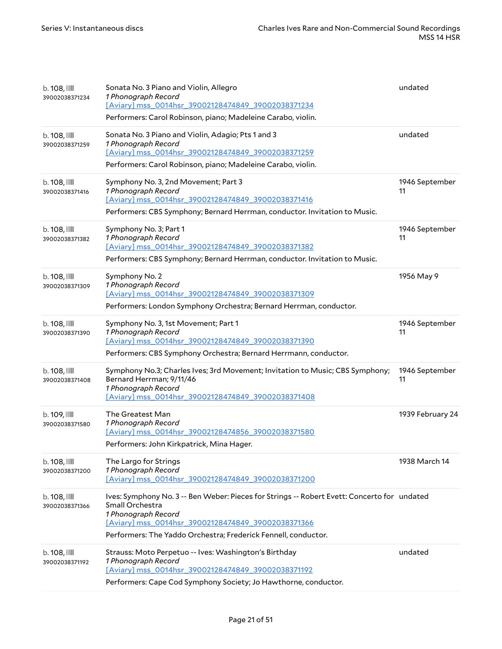| $b.108$ , $III$<br>39002038371234          | Sonata No. 3 Piano and Violin, Allegro<br>1 Phonograph Record<br>[Aviary] mss 0014hsr 39002128474849 39002038371234<br>Performers: Carol Robinson, piano; Madeleine Carabo, violin.                                                                           | undated              |
|--------------------------------------------|---------------------------------------------------------------------------------------------------------------------------------------------------------------------------------------------------------------------------------------------------------------|----------------------|
| $b.108$ , $III$<br>39002038371259          | Sonata No. 3 Piano and Violin, Adagio; Pts 1 and 3<br>1 Phonograph Record<br>[Aviary] mss_0014hsr_39002128474849_39002038371259<br>Performers: Carol Robinson, piano; Madeleine Carabo, violin.                                                               | undated              |
| $b.108$ , $III$<br>39002038371416          | Symphony No. 3, 2nd Movement; Part 3<br>1 Phonograph Record<br>[Aviary] mss 0014hsr 39002128474849 39002038371416<br>Performers: CBS Symphony; Bernard Herrman, conductor. Invitation to Music.                                                               | 1946 September<br>11 |
| $b.108$ , $III$<br>39002038371382          | Symphony No. 3; Part 1<br>1 Phonograph Record<br>[Aviary] mss_0014hsr_39002128474849_39002038371382<br>Performers: CBS Symphony; Bernard Herrman, conductor. Invitation to Music.                                                                             | 1946 September<br>11 |
| $b.108$ , $\blacksquare$<br>39002038371309 | Symphony No. 2<br>1 Phonograph Record<br>[Aviary] mss 0014hsr 39002128474849 39002038371309<br>Performers: London Symphony Orchestra; Bernard Herrman, conductor.                                                                                             | 1956 May 9           |
| $b.108$ , $III$<br>39002038371390          | Symphony No. 3, 1st Movement; Part 1<br>1 Phonograph Record<br>[Aviary] mss 0014hsr 39002128474849 39002038371390<br>Performers: CBS Symphony Orchestra; Bernard Herrmann, conductor.                                                                         | 1946 September<br>11 |
| b. 108, III<br>39002038371408              | Symphony No.3; Charles Ives; 3rd Movement; Invitation to Music; CBS Symphony;<br>Bernard Herrman; 9/11/46<br>1 Phonograph Record<br>[Aviary] mss 0014hsr 39002128474849 39002038371408                                                                        | 1946 September<br>11 |
| $b.109$ , $III$<br>39002038371580          | The Greatest Man<br>1 Phonograph Record<br>[Aviary] mss_0014hsr_39002128474856_39002038371580<br>Performers: John Kirkpatrick, Mina Hager.                                                                                                                    | 1939 February 24     |
| $b.108$ , $\blacksquare$<br>39002038371200 | The Largo for Strings<br>1 Phonograph Record<br>[Aviary] mss 0014hsr 39002128474849 39002038371200                                                                                                                                                            | 1938 March 14        |
| $b.108$ , $\blacksquare$<br>39002038371366 | Ives: Symphony No. 3 -- Ben Weber: Pieces for Strings -- Robert Evett: Concerto for undated<br>Small Orchestra<br>1 Phonograph Record<br>[Aviary] mss 0014hsr 39002128474849 39002038371366<br>Performers: The Yaddo Orchestra; Frederick Fennell, conductor. |                      |
| $b.108$ , $III$<br>39002038371192          | Strauss: Moto Perpetuo -- Ives: Washington's Birthday<br>1 Phonograph Record<br>[Aviary] mss 0014hsr 39002128474849 39002038371192<br>Performers: Cape Cod Symphony Society; Jo Hawthorne, conductor.                                                         | undated              |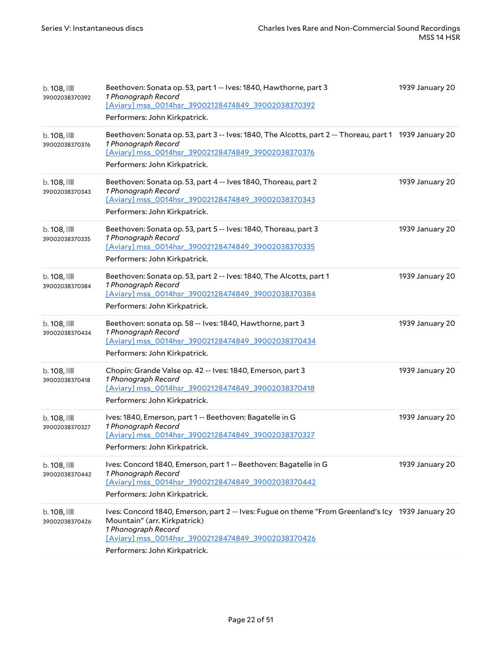| $b.108$ , $III$<br>39002038370392          | Beethoven: Sonata op. 53, part 1 -- Ives: 1840, Hawthorne, part 3<br>1 Phonograph Record<br>[Aviary] mss 0014hsr 39002128474849 39002038370392<br>Performers: John Kirkpatrick.                                                                 | 1939 January 20 |
|--------------------------------------------|-------------------------------------------------------------------------------------------------------------------------------------------------------------------------------------------------------------------------------------------------|-----------------|
| $b.108$ , $\blacksquare$<br>39002038370376 | Beethoven: Sonata op. 53, part 3 -- Ives: 1840, The Alcotts, part 2 -- Thoreau, part 1 1939 January 20<br>1 Phonograph Record<br>[Aviary] mss_0014hsr_39002128474849_39002038370376<br>Performers: John Kirkpatrick.                            |                 |
| $b.108$ , $III$<br>39002038370343          | Beethoven: Sonata op. 53, part 4 -- Ives 1840, Thoreau, part 2<br>1 Phonograph Record<br>[Aviary] mss_0014hsr_39002128474849_39002038370343<br>Performers: John Kirkpatrick.                                                                    | 1939 January 20 |
| $b.108$ , $III$<br>39002038370335          | Beethoven: Sonata op. 53, part 5 -- Ives: 1840, Thoreau, part 3<br>1 Phonograph Record<br>[Aviary] mss_0014hsr_39002128474849_39002038370335<br>Performers: John Kirkpatrick.                                                                   | 1939 January 20 |
| $b.108$ , $III$<br>39002038370384          | Beethoven: Sonata op. 53, part 2 -- Ives: 1840, The Alcotts, part 1<br>1 Phonograph Record<br>[Aviary] mss_0014hsr_39002128474849_39002038370384<br>Performers: John Kirkpatrick.                                                               | 1939 January 20 |
| $b.108$ , $III$<br>39002038370434          | Beethoven: sonata op. 58 -- Ives: 1840, Hawthorne, part 3<br>1 Phonograph Record<br>[Aviary] mss_0014hsr_39002128474849_39002038370434<br>Performers: John Kirkpatrick.                                                                         | 1939 January 20 |
| $b.108$ , $III$<br>39002038370418          | Chopin: Grande Valse op. 42 -- Ives: 1840, Emerson, part 3<br>1 Phonograph Record<br>[Aviary] mss_0014hsr_39002128474849_39002038370418<br>Performers: John Kirkpatrick.                                                                        | 1939 January 20 |
| $b.108$ , $III$<br>39002038370327          | Ives: 1840, Emerson, part 1 -- Beethoven: Bagatelle in G<br>1 Phonograph Record<br>[Aviary] mss_0014hsr_39002128474849_39002038370327<br>Performers: John Kirkpatrick.                                                                          | 1939 January 20 |
| $b.108$ , $III$<br>39002038370442          | Ives: Concord 1840, Emerson, part 1 -- Beethoven: Bagatelle in G<br>1 Phonograph Record<br>[Aviary] mss_0014hsr_39002128474849_39002038370442<br>Performers: John Kirkpatrick.                                                                  | 1939 January 20 |
| $b.108$ , $III$<br>39002038370426          | Ives: Concord 1840, Emerson, part 2 -- Ives: Fugue on theme "From Greenland's Icy 1939 January 20<br>Mountain" (arr. Kirkpatrick)<br>1 Phonograph Record<br>[Aviary] mss_0014hsr_39002128474849_39002038370426<br>Performers: John Kirkpatrick. |                 |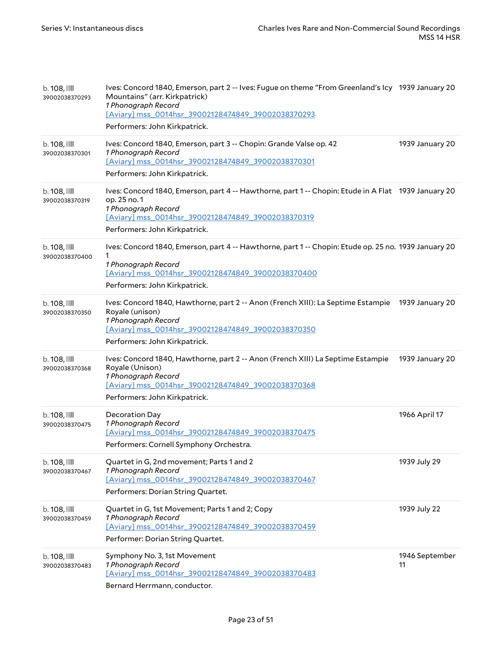| $b.108$ , $III$<br>39002038370293          | Ives: Concord 1840, Emerson, part 2 -- Ives: Fugue on theme "From Greenland's Icy 1939 January 20<br>Mountains" (arr. Kirkpatrick)<br>1 Phonograph Record<br>[Aviary] mss_0014hsr_39002128474849_39002038370293<br>Performers: John Kirkpatrick. |                      |
|--------------------------------------------|--------------------------------------------------------------------------------------------------------------------------------------------------------------------------------------------------------------------------------------------------|----------------------|
| $b.108$ , $III$<br>39002038370301          | Ives: Concord 1840, Emerson, part 3 -- Chopin: Grande Valse op. 42<br>1 Phonograph Record<br>[Aviary] mss_0014hsr_39002128474849_39002038370301<br>Performers: John Kirkpatrick.                                                                 | 1939 January 20      |
| $b.108$ , $III$<br>39002038370319          | Ives: Concord 1840, Emerson, part 4 -- Hawthorne, part 1 -- Chopin: Etude in A Flat 1939 January 20<br>op. 25 no. 1<br>1 Phonograph Record<br>[Aviary] mss_0014hsr_39002128474849_39002038370319<br>Performers: John Kirkpatrick.                |                      |
| $b.108$ , $III$<br>39002038370400          | Ives: Concord 1840, Emerson, part 4 -- Hawthorne, part 1 -- Chopin: Etude op. 25 no. 1939 January 20<br>1<br>1 Phonograph Record<br>[Aviary] mss_0014hsr_39002128474849_39002038370400<br>Performers: John Kirkpatrick.                          |                      |
| $b.108$ , $III$<br>39002038370350          | Ives: Concord 1840, Hawthorne, part 2 -- Anon (French XIII): La Septime Estampie<br>Royale (unison)<br>1 Phonograph Record<br>[Aviary] mss 0014hsr 39002128474849 39002038370350<br>Performers: John Kirkpatrick.                                | 1939 January 20      |
| $b.108$ , $III$<br>39002038370368          | Ives: Concord 1840, Hawthorne, part 2 -- Anon (French XIII) La Septime Estampie<br>Royale (Unison)<br>1 Phonograph Record<br>[Aviary] mss_0014hsr_39002128474849_39002038370368<br>Performers: John Kirkpatrick.                                 | 1939 January 20      |
| $b.108$ , $\blacksquare$<br>39002038370475 | <b>Decoration Day</b><br>1 Phonograph Record<br>[Aviary] mss 0014hsr 39002128474849 39002038370475<br>Performers: Cornell Symphony Orchestra.                                                                                                    | 1966 April 17        |
| $b.108$ , $III$<br>39002038370467          | Quartet in G, 2nd movement; Parts 1 and 2<br>1 Phonograph Record<br>[Aviary] mss_0014hsr_39002128474849_39002038370467<br>Performers: Dorian String Quartet.                                                                                     | 1939 July 29         |
| $b.108$ , $III$<br>39002038370459          | Quartet in G, 1st Movement; Parts 1 and 2; Copy<br>1 Phonograph Record<br>[Aviary] mss_0014hsr_39002128474849_39002038370459<br>Performer: Dorian String Quartet.                                                                                | 1939 July 22         |
| $b.108$ , $\blacksquare$<br>39002038370483 | Symphony No. 3, 1st Movement<br>1 Phonograph Record<br>[Aviary] mss_0014hsr_39002128474849_39002038370483<br>Bernard Herrmann, conductor.                                                                                                        | 1946 September<br>11 |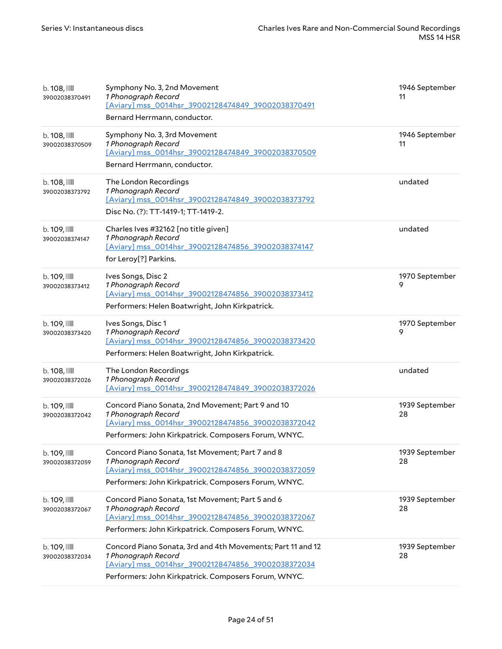| $b.108$ , $\blacksquare$<br>39002038370491 | Symphony No. 3, 2nd Movement<br>1 Phonograph Record<br>[Aviary] mss_0014hsr_39002128474849_39002038370491<br>Bernard Herrmann, conductor.                                                        | 1946 September<br>11 |
|--------------------------------------------|--------------------------------------------------------------------------------------------------------------------------------------------------------------------------------------------------|----------------------|
| $b.108$ , $III$<br>39002038370509          | Symphony No. 3, 3rd Movement<br>1 Phonograph Record<br>[Aviary] mss 0014hsr 39002128474849 39002038370509<br>Bernard Herrmann, conductor.                                                        | 1946 September<br>11 |
| $b.108$ , $III$<br>39002038373792          | The London Recordings<br>1 Phonograph Record<br>[Aviary] mss 0014hsr 39002128474849 39002038373792<br>Disc No. (?): TT-1419-1; TT-1419-2.                                                        | undated              |
| $b.109$ , $III$<br>39002038374147          | Charles Ives #32162 [no title given]<br>1 Phonograph Record<br>[Aviary] mss_0014hsr_39002128474856_39002038374147<br>for Leroy[?] Parkins.                                                       | undated              |
| b. 109, III<br>39002038373412              | Ives Songs, Disc 2<br>1 Phonograph Record<br>[Aviary] mss_0014hsr_39002128474856_39002038373412<br>Performers: Helen Boatwright, John Kirkpatrick.                                               | 1970 September<br>9  |
| b. 109, III<br>39002038373420              | Ives Songs, Disc 1<br>1 Phonograph Record<br>[Aviary] mss 0014hsr 39002128474856 39002038373420<br>Performers: Helen Boatwright, John Kirkpatrick.                                               | 1970 September<br>9  |
| $b.108$ , $III$<br>39002038372026          | The London Recordings<br>1 Phonograph Record<br>[Aviary] mss 0014hsr 39002128474849 39002038372026                                                                                               | undated              |
| b. 109, III<br>39002038372042              | Concord Piano Sonata, 2nd Movement; Part 9 and 10<br>1 Phonograph Record<br>[Aviary] mss_0014hsr_39002128474856_39002038372042<br>Performers: John Kirkpatrick. Composers Forum, WNYC.           | 1939 September<br>28 |
| $b.109$ , $III$<br>39002038372059          | Concord Piano Sonata, 1st Movement; Part 7 and 8<br>1 Phonograph Record<br>[Aviary] mss_0014hsr_39002128474856_39002038372059<br>Performers: John Kirkpatrick. Composers Forum, WNYC.            | 1939 September<br>28 |
| $b.109$ , $III$<br>39002038372067          | Concord Piano Sonata, 1st Movement; Part 5 and 6<br>1 Phonograph Record<br>[Aviary] mss_0014hsr_39002128474856_39002038372067<br>Performers: John Kirkpatrick. Composers Forum, WNYC.            | 1939 September<br>28 |
| $b.109$ , $III$<br>39002038372034          | Concord Piano Sonata, 3rd and 4th Movements; Part 11 and 12<br>1 Phonograph Record<br>[Aviary] mss_0014hsr_39002128474856_39002038372034<br>Performers: John Kirkpatrick. Composers Forum, WNYC. | 1939 September<br>28 |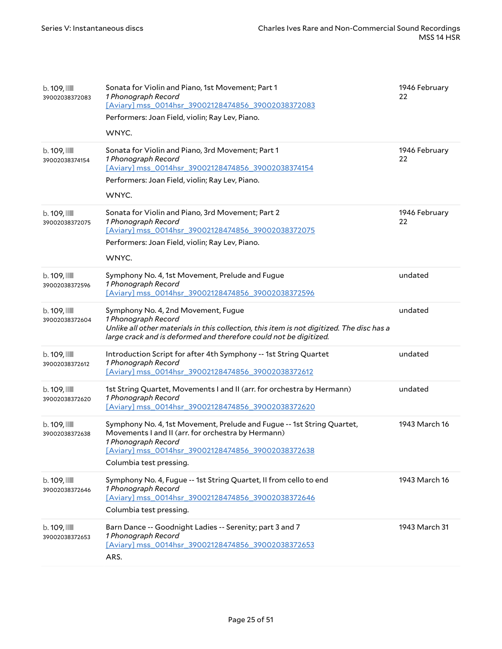| b. 109, III<br>39002038372083     | Sonata for Violin and Piano, 1st Movement; Part 1<br>1 Phonograph Record<br>[Aviary] mss_0014hsr_39002128474856_39002038372083<br>Performers: Joan Field, violin; Ray Lev, Piano.<br>WNYC.                                           | 1946 February<br>22 |
|-----------------------------------|--------------------------------------------------------------------------------------------------------------------------------------------------------------------------------------------------------------------------------------|---------------------|
| $b.109$ , $III$<br>39002038374154 | Sonata for Violin and Piano, 3rd Movement; Part 1<br>1 Phonograph Record<br>[Aviary] mss 0014hsr 39002128474856 39002038374154<br>Performers: Joan Field, violin; Ray Lev, Piano.<br>WNYC.                                           | 1946 February<br>22 |
| b. 109, III<br>39002038372075     | Sonata for Violin and Piano, 3rd Movement; Part 2<br>1 Phonograph Record<br>[Aviary] mss_0014hsr_39002128474856_39002038372075<br>Performers: Joan Field, violin; Ray Lev, Piano.<br>WNYC.                                           | 1946 February<br>22 |
| b. 109, III<br>39002038372596     | Symphony No. 4, 1st Movement, Prelude and Fugue<br>1 Phonograph Record<br>[Aviary] mss 0014hsr 39002128474856 39002038372596                                                                                                         | undated             |
| b. 109, III<br>39002038372604     | Symphony No. 4, 2nd Movement, Fugue<br>1 Phonograph Record<br>Unlike all other materials in this collection, this item is not digitized. The disc has a<br>large crack and is deformed and therefore could not be digitized.         | undated             |
| b. 109, III<br>39002038372612     | Introduction Script for after 4th Symphony -- 1st String Quartet<br>1 Phonograph Record<br>[Aviary] mss_0014hsr_39002128474856_39002038372612                                                                                        | undated             |
| $b.109$ , $III$<br>39002038372620 | 1st String Quartet, Movements I and II (arr. for orchestra by Hermann)<br>1 Phonograph Record<br>[Aviary] mss_0014hsr_39002128474856_39002038372620                                                                                  | undated             |
| b. 109, III<br>39002038372638     | Symphony No. 4, 1st Movement, Prelude and Fugue -- 1st String Quartet,<br>Movements I and II (arr. for orchestra by Hermann)<br>1 Phonograph Record<br>[Aviary] mss 0014hsr 39002128474856 39002038372638<br>Columbia test pressing. | 1943 March 16       |
| b. 109, IIII<br>39002038372646    | Symphony No. 4, Fugue -- 1st String Quartet, II from cello to end<br>1 Phonograph Record<br>[Aviary] mss_0014hsr_39002128474856_39002038372646<br>Columbia test pressing.                                                            | 1943 March 16       |
| $b.109$ , $III$<br>39002038372653 | Barn Dance -- Goodnight Ladies -- Serenity; part 3 and 7<br>1 Phonograph Record<br>[Aviary] mss_0014hsr_39002128474856_39002038372653<br>ARS.                                                                                        | 1943 March 31       |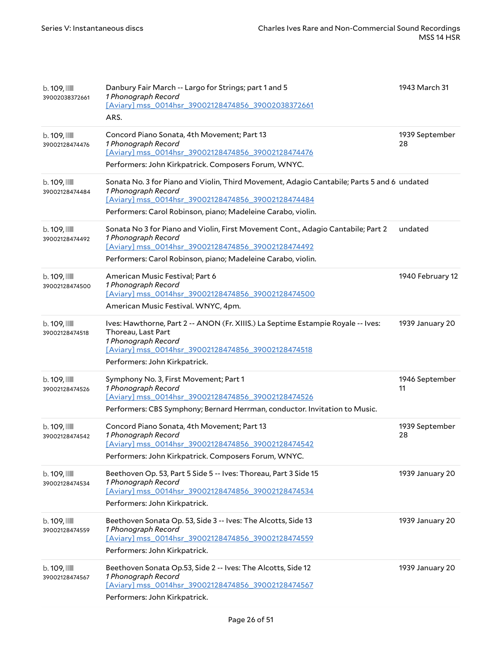| $b.109$ , $III$<br>39002038372661 | Danbury Fair March -- Largo for Strings; part 1 and 5<br>1 Phonograph Record<br>[Aviary] mss_0014hsr_39002128474856_39002038372661<br>ARS.                                                                                              | 1943 March 31        |
|-----------------------------------|-----------------------------------------------------------------------------------------------------------------------------------------------------------------------------------------------------------------------------------------|----------------------|
| b. 109, IIII<br>39002128474476    | Concord Piano Sonata, 4th Movement; Part 13<br>1 Phonograph Record<br>[Aviary] mss 0014hsr 39002128474856 39002128474476<br>Performers: John Kirkpatrick. Composers Forum, WNYC.                                                        | 1939 September<br>28 |
| $b.109$ , $III$<br>39002128474484 | Sonata No. 3 for Piano and Violin, Third Movement, Adagio Cantabile; Parts 5 and 6 undated<br>1 Phonograph Record<br>[Aviary] mss 0014hsr 39002128474856 39002128474484<br>Performers: Carol Robinson, piano; Madeleine Carabo, violin. |                      |
| $b.109$ , $III$<br>39002128474492 | Sonata No 3 for Piano and Violin, First Movement Cont., Adagio Cantabile; Part 2<br>1 Phonograph Record<br>[Aviary] mss_0014hsr_39002128474856_39002128474492<br>Performers: Carol Robinson, piano; Madeleine Carabo, violin.           | undated              |
| $b.109$ , $III$<br>39002128474500 | American Music Festival; Part 6<br>1 Phonograph Record<br>[Aviary] mss_0014hsr_39002128474856_39002128474500<br>American Music Festival. WNYC, 4pm.                                                                                     | 1940 February 12     |
| $b.109$ , $III$<br>39002128474518 | Ives: Hawthorne, Part 2 -- ANON (Fr. XIIIS.) La Septime Estampie Royale -- Ives:<br>Thoreau, Last Part<br>1 Phonograph Record<br>[Aviary] mss_0014hsr_39002128474856_39002128474518<br>Performers: John Kirkpatrick.                    | 1939 January 20      |
| b. 109, IIII<br>39002128474526    | Symphony No. 3, First Movement; Part 1<br>1 Phonograph Record<br>[Aviary] mss 0014hsr 39002128474856 39002128474526<br>Performers: CBS Symphony; Bernard Herrman, conductor. Invitation to Music.                                       | 1946 September<br>11 |
| b. 109, IIII<br>39002128474542    | Concord Piano Sonata, 4th Movement; Part 13<br>1 Phonograph Record<br>[Aviary] mss_0014hsr_39002128474856_39002128474542<br>Performers: John Kirkpatrick. Composers Forum, WNYC.                                                        | 1939 September<br>28 |
| b. 109, III<br>39002128474534     | Beethoven Op. 53, Part 5 Side 5 -- Ives: Thoreau, Part 3 Side 15<br>1 Phonograph Record<br>[Aviary] mss_0014hsr_39002128474856_39002128474534<br>Performers: John Kirkpatrick.                                                          | 1939 January 20      |
| $b.109$ , $III$<br>39002128474559 | Beethoven Sonata Op. 53, Side 3 -- Ives: The Alcotts, Side 13<br>1 Phonograph Record<br>[Aviary] mss_0014hsr_39002128474856_39002128474559<br>Performers: John Kirkpatrick.                                                             | 1939 January 20      |
| b. 109, III<br>39002128474567     | Beethoven Sonata Op.53, Side 2 -- Ives: The Alcotts, Side 12<br>1 Phonograph Record<br>[Aviary] mss_0014hsr_39002128474856_39002128474567<br>Performers: John Kirkpatrick.                                                              | 1939 January 20      |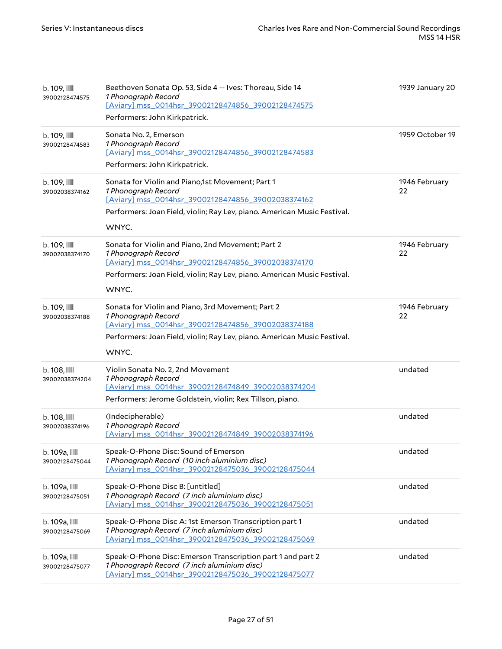| b. 109, III<br>39002128474575     | Beethoven Sonata Op. 53, Side 4 -- Ives: Thoreau, Side 14<br>1 Phonograph Record<br>[Aviary] mss_0014hsr_39002128474856_39002128474575<br>Performers: John Kirkpatrick.                                             | 1939 January 20     |
|-----------------------------------|---------------------------------------------------------------------------------------------------------------------------------------------------------------------------------------------------------------------|---------------------|
| $b.109$ , $III$<br>39002128474583 | Sonata No. 2, Emerson<br>1 Phonograph Record<br>[Aviary] mss_0014hsr_39002128474856_39002128474583<br>Performers: John Kirkpatrick.                                                                                 | 1959 October 19     |
| $b.109$ , $III$<br>39002038374162 | Sonata for Violin and Piano, 1st Movement; Part 1<br>1 Phonograph Record<br>[Aviary] mss 0014hsr 39002128474856 39002038374162<br>Performers: Joan Field, violin; Ray Lev, piano. American Music Festival.<br>WNYC. | 1946 February<br>22 |
| b. 109, III<br>39002038374170     | Sonata for Violin and Piano, 2nd Movement; Part 2<br>1 Phonograph Record<br>[Aviary] mss_0014hsr_39002128474856_39002038374170<br>Performers: Joan Field, violin; Ray Lev, piano. American Music Festival.<br>WNYC. | 1946 February<br>22 |
| $b.109$ , $III$<br>39002038374188 | Sonata for Violin and Piano, 3rd Movement; Part 2<br>1 Phonograph Record<br>[Aviary] mss 0014hsr 39002128474856 39002038374188<br>Performers: Joan Field, violin; Ray Lev, piano. American Music Festival.<br>WNYC. | 1946 February<br>22 |
| $b.108$ , $III$<br>39002038374204 | Violin Sonata No. 2, 2nd Movement<br>1 Phonograph Record<br>[Aviary] mss_0014hsr_39002128474849_39002038374204<br>Performers: Jerome Goldstein, violin; Rex Tillson, piano.                                         | undated             |
| $b.108$ , $III$<br>39002038374196 | (Indecipherable)<br>1 Phonograph Record<br>[Aviary] mss 0014hsr 39002128474849 39002038374196                                                                                                                       | undated             |
| b. 109a, IIII<br>39002128475044   | Speak-O-Phone Disc: Sound of Emerson<br>1 Phonograph Record (10 inch aluminium disc)<br>[Aviary] mss 0014hsr 39002128475036 39002128475044                                                                          | undated             |
| b. 109a, IIII<br>39002128475051   | Speak-O-Phone Disc B: [untitled]<br>1 Phonograph Record (7 inch aluminium disc)<br>[Aviary] mss 0014hsr 39002128475036 39002128475051                                                                               | undated             |
| b. 109a, IIII<br>39002128475069   | Speak-O-Phone Disc A: 1st Emerson Transcription part 1<br>1 Phonograph Record (7 inch aluminium disc)<br>[Aviary] mss 0014hsr 39002128475036 39002128475069                                                         | undated             |
| b. 109a, IIII<br>39002128475077   | Speak-O-Phone Disc: Emerson Transcription part 1 and part 2<br>1 Phonograph Record (7 inch aluminium disc)<br>[Aviary] mss_0014hsr_39002128475036_39002128475077                                                    | undated             |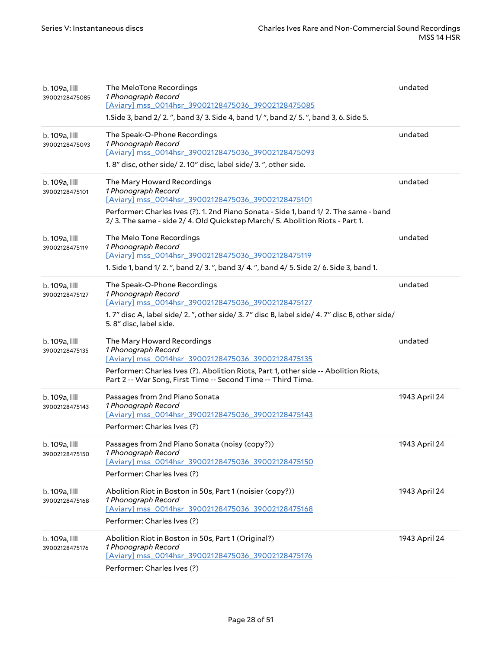| b. 109a, IIII<br>39002128475085 | The MeloTone Recordings<br>1 Phonograph Record<br>[Aviary] mss_0014hsr_39002128475036_39002128475085<br>1. Side 3, band 2/2. ", band 3/3. Side 4, band 1/", band 2/5.", band 3, 6. Side 5.                                                                                    | undated       |
|---------------------------------|-------------------------------------------------------------------------------------------------------------------------------------------------------------------------------------------------------------------------------------------------------------------------------|---------------|
| b. 109a, IIII<br>39002128475093 | The Speak-O-Phone Recordings<br>1 Phonograph Record<br>[Aviary] mss_0014hsr_39002128475036_39002128475093<br>1.8" disc, other side/ 2.10" disc, label side/ 3.", other side.                                                                                                  | undated       |
| b. 109a, IIII<br>39002128475101 | The Mary Howard Recordings<br>1 Phonograph Record<br>[Aviary] mss_0014hsr_39002128475036_39002128475101<br>Performer: Charles Ives (?). 1. 2nd Piano Sonata - Side 1, band 1/2. The same - band<br>2/3. The same - side 2/4. Old Quickstep March/5. Abolition Riots - Part 1. | undated       |
| b. 109a, IIII<br>39002128475119 | The Melo Tone Recordings<br>1 Phonograph Record<br>[Aviary] mss 0014hsr 39002128475036 39002128475119<br>1. Side 1, band 1/ 2. ", band 2/ 3. ", band 3/ 4. ", band 4/ 5. Side 2/ 6. Side 3, band 1.                                                                           | undated       |
| b. 109a, IIII<br>39002128475127 | The Speak-O-Phone Recordings<br>1 Phonograph Record<br>[Aviary] mss_0014hsr_39002128475036_39002128475127<br>1.7" disc A, label side/ 2.", other side/ 3.7" disc B, label side/ 4.7" disc B, other side/<br>5.8" disc, label side.                                            | undated       |
| b. 109a, IIII<br>39002128475135 | The Mary Howard Recordings<br>1 Phonograph Record<br>[Aviary] mss 0014hsr 39002128475036 39002128475135<br>Performer: Charles Ives (?). Abolition Riots, Part 1, other side -- Abolition Riots,<br>Part 2 -- War Song, First Time -- Second Time -- Third Time.               | undated       |
| b. 109a, IIII<br>39002128475143 | Passages from 2nd Piano Sonata<br>1 Phonograph Record<br>[Aviary] mss_0014hsr_39002128475036_39002128475143<br>Performer: Charles Ives (?)                                                                                                                                    | 1943 April 24 |
| b. 109a, IIII<br>39002128475150 | Passages from 2nd Piano Sonata (noisy (copy?))<br>1 Phonograph Record<br>[Aviary] mss_0014hsr_39002128475036_39002128475150<br>Performer: Charles Ives (?)                                                                                                                    | 1943 April 24 |
| b. 109a, IIII<br>39002128475168 | Abolition Riot in Boston in 50s, Part 1 (noisier (copy?))<br>1 Phonograph Record<br>[Aviary] mss_0014hsr_39002128475036_39002128475168<br>Performer: Charles Ives (?)                                                                                                         | 1943 April 24 |
| b. 109a, IIII<br>39002128475176 | Abolition Riot in Boston in 50s, Part 1 (Original?)<br>1 Phonograph Record<br>[Aviary] mss_0014hsr_39002128475036_39002128475176<br>Performer: Charles Ives (?)                                                                                                               | 1943 April 24 |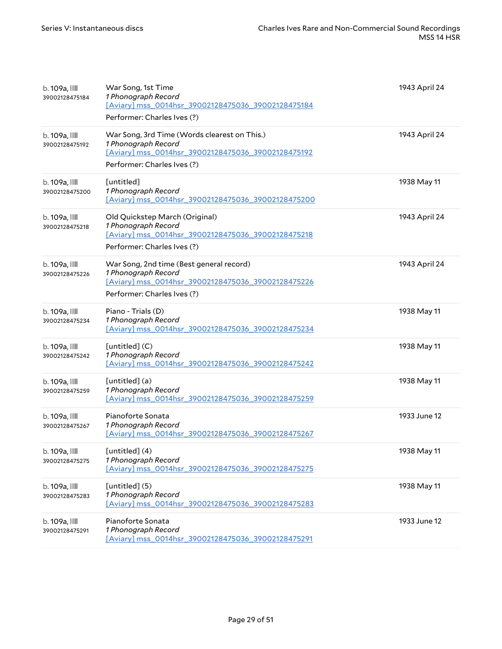| b. 109a, IIII<br>39002128475184 | War Song, 1st Time<br>1 Phonograph Record<br>[Aviary] mss_0014hsr_39002128475036_39002128475184<br>Performer: Charles Ives (?)                           | 1943 April 24 |
|---------------------------------|----------------------------------------------------------------------------------------------------------------------------------------------------------|---------------|
| b. 109a, IIII<br>39002128475192 | War Song, 3rd Time (Words clearest on This.)<br>1 Phonograph Record<br>[Aviary] mss_0014hsr_39002128475036_39002128475192<br>Performer: Charles Ives (?) | 1943 April 24 |
| b. 109a, IIII<br>39002128475200 | [untitled]<br>1 Phonograph Record<br>[Aviary] mss 0014hsr 39002128475036 39002128475200                                                                  | 1938 May 11   |
| b. 109a, IIII<br>39002128475218 | Old Quickstep March (Original)<br>1 Phonograph Record<br>[Aviary] mss_0014hsr_39002128475036_39002128475218<br>Performer: Charles Ives (?)               | 1943 April 24 |
| b. 109a, IIII<br>39002128475226 | War Song, 2nd time (Best general record)<br>1 Phonograph Record<br>[Aviary] mss_0014hsr_39002128475036_39002128475226<br>Performer: Charles Ives (?)     | 1943 April 24 |
| b. 109a, IIII<br>39002128475234 | Piano - Trials (D)<br>1 Phonograph Record<br>[Aviary] mss 0014hsr 39002128475036 39002128475234                                                          | 1938 May 11   |
| b. 109a, IIII<br>39002128475242 | $[$ untitled $]$ $(C)$<br>1 Phonograph Record<br>[Aviary] mss_0014hsr_39002128475036_39002128475242                                                      | 1938 May 11   |
| b. 109a, IIII<br>39002128475259 | [untitled] (a)<br>1 Phonograph Record<br>[Aviary] mss 0014hsr 39002128475036 39002128475259                                                              | 1938 May 11   |
| b. 109a, IIII<br>39002128475267 | Pianoforte Sonata<br>1 Phonograph Record<br>[Aviary] mss 0014hsr 39002128475036 39002128475267                                                           | 1933 June 12  |
| b. 109a, IIII<br>39002128475275 | [untitled] (4)<br>1 Phonograph Record<br>[Aviary] mss 0014hsr 39002128475036 39002128475275                                                              | 1938 May 11   |
| b. 109a, IIII<br>39002128475283 | [untitled] (5)<br>1 Phonograph Record<br>[Aviary] mss 0014hsr 39002128475036 39002128475283                                                              | 1938 May 11   |
| b. 109a, IIII<br>39002128475291 | Pianoforte Sonata<br>1 Phonograph Record<br>[Aviary] mss 0014hsr 39002128475036 39002128475291                                                           | 1933 June 12  |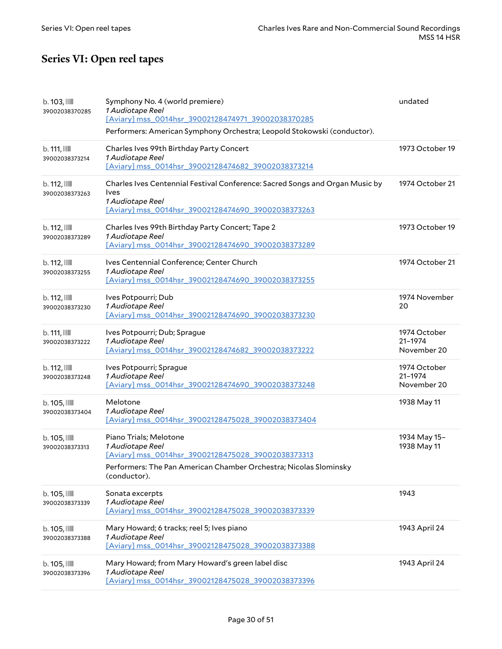# <span id="page-29-0"></span>**Series VI: Open reel tapes**

| $b.103$ , $III$<br>39002038370285          | Symphony No. 4 (world premiere)<br>1 Audiotape Reel<br>[Aviary] mss_0014hsr_39002128474971_39002038370285<br>Performers: American Symphony Orchestra; Leopold Stokowski (conductor).  | undated                                |
|--------------------------------------------|---------------------------------------------------------------------------------------------------------------------------------------------------------------------------------------|----------------------------------------|
| b. 111,<br>39002038373214                  | Charles Ives 99th Birthday Party Concert<br>1 Audiotape Reel<br>[Aviary] mss 0014hsr 39002128474682 39002038373214                                                                    | 1973 October 19                        |
| b.112,<br>39002038373263                   | Charles Ives Centennial Festival Conference: Sacred Songs and Organ Music by<br><b>lves</b><br>1 Audiotape Reel<br>[Aviary] mss 0014hsr 39002128474690 39002038373263                 | 1974 October 21                        |
| b.112,<br>39002038373289                   | Charles Ives 99th Birthday Party Concert; Tape 2<br>1 Audiotape Reel<br>[Aviary] mss 0014hsr 39002128474690 39002038373289                                                            | 1973 October 19                        |
| b.112,<br>39002038373255                   | Ives Centennial Conference; Center Church<br>1 Audiotape Reel<br>[Aviary] mss 0014hsr 39002128474690 39002038373255                                                                   | 1974 October 21                        |
| b.112,<br>39002038373230                   | Ives Potpourri; Dub<br>1 Audiotape Reel<br>[Aviary] mss 0014hsr 39002128474690 39002038373230                                                                                         | 1974 November<br>20                    |
| b. 111,<br>39002038373222                  | Ives Potpourri; Dub; Sprague<br>1 Audiotape Reel<br>[Aviary] mss_0014hsr_39002128474682_39002038373222                                                                                | 1974 October<br>21-1974<br>November 20 |
| b.112,<br>39002038373248                   | Ives Potpourri; Sprague<br>1 Audiotape Reel<br>[Aviary] mss_0014hsr_39002128474690_39002038373248                                                                                     | 1974 October<br>21-1974<br>November 20 |
| $b.105$ , $III$<br>39002038373404          | Melotone<br>1 Audiotape Reel<br>[Aviary] mss 0014hsr 39002128475028 39002038373404                                                                                                    | 1938 May 11                            |
| $b.105$ , $\mathbb{III}$<br>39002038373313 | Piano Trials; Melotone<br>1 Audiotape Reel<br>[Aviary] mss_0014hsr_39002128475028_39002038373313<br>Performers: The Pan American Chamber Orchestra; Nicolas Slominsky<br>(conductor). | 1934 May 15-<br>1938 May 11            |
| $b.105$ , $III$<br>39002038373339          | Sonata excerpts<br>1 Audiotape Reel<br>[Aviary] mss 0014hsr 39002128475028 39002038373339                                                                                             | 1943                                   |
| $b.105$ , $III$<br>39002038373388          | Mary Howard; 6 tracks; reel 5; Ives piano<br>1 Audiotape Reel<br>[Aviary] mss_0014hsr_39002128475028_39002038373388                                                                   | 1943 April 24                          |
| $b.105$ , $III$<br>39002038373396          | Mary Howard; from Mary Howard's green label disc<br>1 Audiotape Reel<br>[Aviary] mss_0014hsr_39002128475028_39002038373396                                                            | 1943 April 24                          |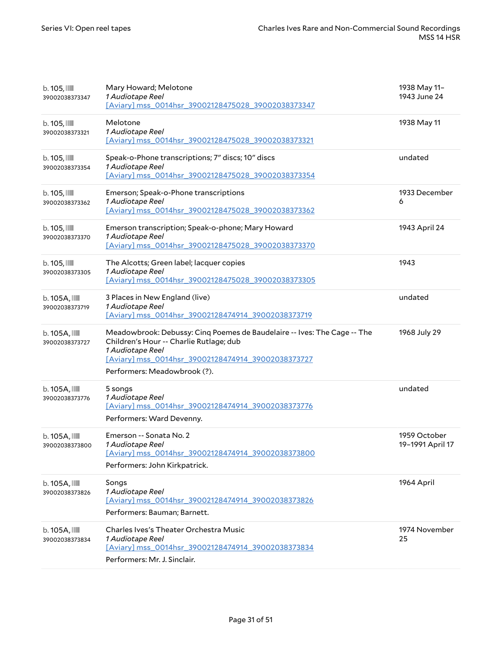| $b.105$ , $\mathbb{III}$<br>39002038373347 | Mary Howard; Melotone<br>1 Audiotape Reel<br>[Aviary] mss_0014hsr_39002128475028_39002038373347                                                                                                                               | 1938 May 11-<br>1943 June 24     |
|--------------------------------------------|-------------------------------------------------------------------------------------------------------------------------------------------------------------------------------------------------------------------------------|----------------------------------|
| $b.105$ , $III$<br>39002038373321          | Melotone<br>1 Audiotape Reel<br>[Aviary] mss_0014hsr_39002128475028_39002038373321                                                                                                                                            | 1938 May 11                      |
| $b.105$ , $III$<br>39002038373354          | Speak-o-Phone transcriptions; 7" discs; 10" discs<br>1 Audiotape Reel<br>[Aviary] mss_0014hsr_39002128475028_39002038373354                                                                                                   | undated                          |
| $b.105$ , $III$<br>39002038373362          | Emerson; Speak-o-Phone transcriptions<br>1 Audiotape Reel<br>[Aviary] mss 0014hsr 39002128475028 39002038373362                                                                                                               | 1933 December<br>6               |
| $b.105$ , $III$<br>39002038373370          | Emerson transcription; Speak-o-phone; Mary Howard<br>1 Audiotape Reel<br>[Aviary] mss_0014hsr_39002128475028_39002038373370                                                                                                   | 1943 April 24                    |
| $b.105$ , $III$<br>39002038373305          | The Alcotts; Green label; lacquer copies<br>1 Audiotape Reel<br>[Aviary] mss_0014hsr_39002128475028_39002038373305                                                                                                            | 1943                             |
| $b.105A$ , $III$<br>39002038373719         | 3 Places in New England (live)<br>1 Audiotape Reel<br>[Aviary] mss_0014hsr_39002128474914_39002038373719                                                                                                                      | undated                          |
| $b.105A$ , $III$<br>39002038373727         | Meadowbrook: Debussy: Cinq Poemes de Baudelaire -- Ives: The Cage -- The<br>Children's Hour -- Charlie Rutlage; dub<br>1 Audiotape Reel<br>[Aviary] mss_0014hsr_39002128474914_39002038373727<br>Performers: Meadowbrook (?). | 1968 July 29                     |
|                                            |                                                                                                                                                                                                                               |                                  |
| $b.105A$ , $III$<br>39002038373776         | 5 songs<br>1 Audiotape Reel<br>[Aviary] mss_0014hsr_39002128474914_39002038373776<br>Performers: Ward Devenny.                                                                                                                | undated                          |
| $b.105A$ , $III$<br>39002038373800         | Emerson -- Sonata No. 2<br><i>1 Audiotape Reel</i><br>[Aviary] mss_0014hsr_39002128474914_39002038373800<br>Performers: John Kirkpatrick.                                                                                     | 1959 October<br>19-1991 April 17 |
| $b.105A$ , $III$<br>39002038373826         | Songs<br>1 Audiotape Reel<br>[Aviary] mss_0014hsr_39002128474914_39002038373826<br>Performers: Bauman; Barnett.                                                                                                               | 1964 April                       |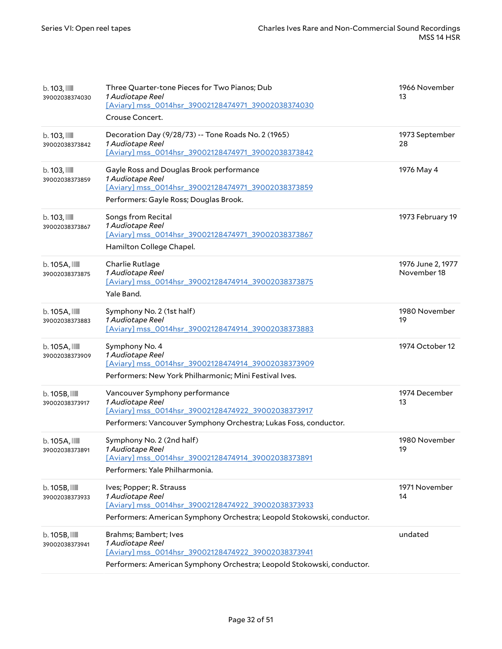| $b.103$ , $III$<br>39002038374030  | Three Quarter-tone Pieces for Two Pianos; Dub<br>1 Audiotape Reel<br>[Aviary] mss 0014hsr 39002128474971 39002038374030<br>Crouse Concert.                                   | 1966 November<br>13              |
|------------------------------------|------------------------------------------------------------------------------------------------------------------------------------------------------------------------------|----------------------------------|
| $b.103$ , $III$<br>39002038373842  | Decoration Day (9/28/73) -- Tone Roads No. 2 (1965)<br>1 Audiotape Reel<br>[Aviary] mss 0014hsr 39002128474971 39002038373842                                                | 1973 September<br>28             |
| $b.103$ , $III$<br>39002038373859  | Gayle Ross and Douglas Brook performance<br>1 Audiotape Reel<br>[Aviary] mss 0014hsr 39002128474971 39002038373859<br>Performers: Gayle Ross; Douglas Brook.                 | 1976 May 4                       |
| $b.103$ , $III$<br>39002038373867  | Songs from Recital<br>1 Audiotape Reel<br>[Aviary] mss_0014hsr_39002128474971_39002038373867<br>Hamilton College Chapel.                                                     | 1973 February 19                 |
| $b.105A$ , $III$<br>39002038373875 | Charlie Rutlage<br>1 Audiotape Reel<br>[Aviary] mss_0014hsr_39002128474914_39002038373875<br>Yale Band.                                                                      | 1976 June 2, 1977<br>November 18 |
| $b.105A$ , $III$<br>39002038373883 | Symphony No. 2 (1st half)<br>1 Audiotape Reel<br>[Aviary] mss_0014hsr_39002128474914_39002038373883                                                                          | 1980 November<br>19              |
| $b.105A$ , $III$<br>39002038373909 | Symphony No. 4<br>1 Audiotape Reel<br>[Aviary] mss_0014hsr_39002128474914_39002038373909<br>Performers: New York Philharmonic; Mini Festival Ives.                           | 1974 October 12                  |
| b. 105B, IIII<br>39002038373917    | Vancouver Symphony performance<br>1 Audiotape Reel<br>[Aviary] mss 0014hsr 39002128474922 39002038373917<br>Performers: Vancouver Symphony Orchestra; Lukas Foss, conductor. | 1974 December<br>13              |
| $b.105A$ , $III$<br>39002038373891 | Symphony No. 2 (2nd half)<br>1 Audiotape Reel<br>[Aviary] mss_0014hsr_39002128474914_39002038373891<br>Performers: Yale Philharmonia.                                        | 1980 November<br>19              |
| $b.105B$ , $III$<br>39002038373933 | Ives; Popper; R. Strauss<br>1 Audiotape Reel<br>[Aviary] mss 0014hsr 39002128474922 39002038373933<br>Performers: American Symphony Orchestra; Leopold Stokowski, conductor. | 1971 November<br>14              |
| $b.105B$ , $III$<br>39002038373941 | Brahms; Bambert; Ives<br>1 Audiotape Reel<br>[Aviary] mss 0014hsr 39002128474922 39002038373941<br>Performers: American Symphony Orchestra; Leopold Stokowski, conductor.    | undated                          |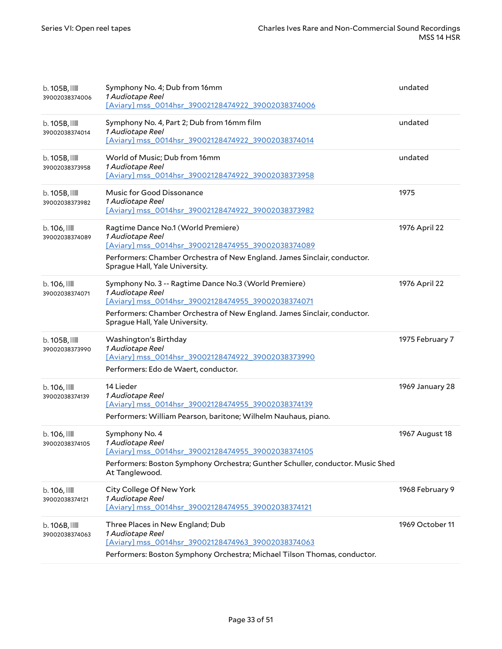| $b.105B$ , $III$<br>39002038374006          | Symphony No. 4; Dub from 16mm<br>1 Audiotape Reel<br>[Aviary] mss_0014hsr_39002128474922_39002038374006                                                                                                                                       | undated         |
|---------------------------------------------|-----------------------------------------------------------------------------------------------------------------------------------------------------------------------------------------------------------------------------------------------|-----------------|
| $b.105B$ , $\blacksquare$<br>39002038374014 | Symphony No. 4, Part 2; Dub from 16mm film<br>1 Audiotape Reel<br>[Aviary] mss_0014hsr_39002128474922_39002038374014                                                                                                                          | undated         |
| $b.105B$ , $III$<br>39002038373958          | World of Music; Dub from 16mm<br>1 Audiotape Reel<br>[Aviary] mss 0014hsr 39002128474922 39002038373958                                                                                                                                       | undated         |
| $b.105B$ , $III$<br>39002038373982          | Music for Good Dissonance<br>1 Audiotape Reel<br>[Aviary] mss_0014hsr_39002128474922_39002038373982                                                                                                                                           | 1975            |
| $b.106$ , $III$<br>39002038374089           | Ragtime Dance No.1 (World Premiere)<br>1 Audiotape Reel<br>[Aviary] mss_0014hsr_39002128474955_39002038374089<br>Performers: Chamber Orchestra of New England. James Sinclair, conductor.<br>Sprague Hall, Yale University.                   | 1976 April 22   |
| $b.106$ , $III$<br>39002038374071           | Symphony No. 3 -- Ragtime Dance No.3 (World Premiere)<br>1 Audiotape Reel<br>[Aviary] mss 0014hsr 39002128474955 39002038374071<br>Performers: Chamber Orchestra of New England. James Sinclair, conductor.<br>Sprague Hall, Yale University. | 1976 April 22   |
| $b.105B$ , $\blacksquare$<br>39002038373990 | Washington's Birthday<br>1 Audiotape Reel<br>[Aviary] mss 0014hsr 39002128474922 39002038373990<br>Performers: Edo de Waert, conductor.                                                                                                       | 1975 February 7 |
| $b.106$ , $III$<br>39002038374139           | 14 Lieder<br>1 Audiotape Reel<br>[Aviary] mss_0014hsr_39002128474955_39002038374139<br>Performers: William Pearson, baritone; Wilhelm Nauhaus, piano.                                                                                         | 1969 January 28 |
| $b.106$ , $III$<br>39002038374105           | Symphony No. 4<br><i>1 Audiotape Reel</i><br>[Aviary] mss 0014hsr 39002128474955 39002038374105<br>Performers: Boston Symphony Orchestra; Gunther Schuller, conductor. Music Shed<br>At Tanglewood.                                           | 1967 August 18  |
| $b.106$ , $III$<br>39002038374121           | City College Of New York<br>1 Audiotape Reel<br>[Aviary] mss 0014hsr 39002128474955 39002038374121                                                                                                                                            | 1968 February 9 |
| $b.106B$ , $III$<br>39002038374063          | Three Places in New England; Dub<br>1 Audiotape Reel<br>[Aviary] mss 0014hsr 39002128474963 39002038374063<br>Performers: Boston Symphony Orchestra; Michael Tilson Thomas, conductor.                                                        | 1969 October 11 |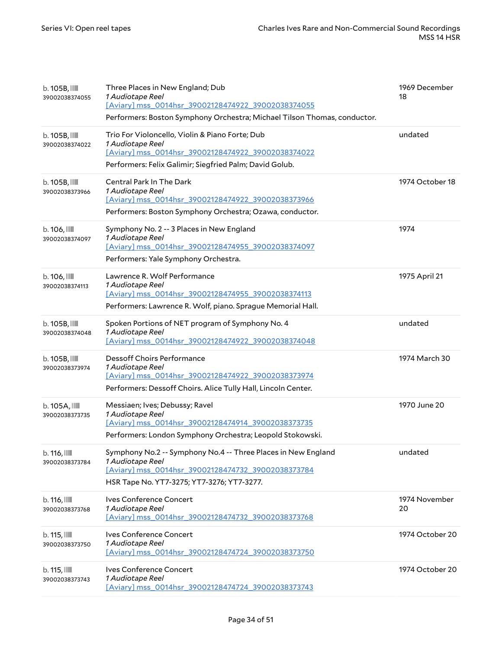| $b.105B$ , $\blacksquare$<br>39002038374055 | Three Places in New England; Dub<br>1 Audiotape Reel<br>[Aviary] mss 0014hsr 39002128474922 39002038374055<br>Performers: Boston Symphony Orchestra; Michael Tilson Thomas, conductor. | 1969 December<br>18 |
|---------------------------------------------|----------------------------------------------------------------------------------------------------------------------------------------------------------------------------------------|---------------------|
| $b.105B$ ,<br>39002038374022                | Trio For Violoncello, Violin & Piano Forte; Dub<br>1 Audiotape Reel<br>[Aviary] mss 0014hsr 39002128474922 39002038374022<br>Performers: Felix Galimir; Siegfried Palm; David Golub.   | undated             |
| $b.105B$ , $\blacksquare$<br>39002038373966 | Central Park In The Dark<br>1 Audiotape Reel<br>[Aviary] mss 0014hsr 39002128474922 39002038373966<br>Performers: Boston Symphony Orchestra; Ozawa, conductor.                         | 1974 October 18     |
| $b.106$ , $III$<br>39002038374097           | Symphony No. 2 -- 3 Places in New England<br>1 Audiotape Reel<br>[Aviary] mss_0014hsr_39002128474955_39002038374097<br>Performers: Yale Symphony Orchestra.                            | 1974                |
| $b.106$ , $III$<br>39002038374113           | Lawrence R. Wolf Performance<br>1 Audiotape Reel<br>[Aviary] mss_0014hsr_39002128474955_39002038374113<br>Performers: Lawrence R. Wolf, piano. Sprague Memorial Hall.                  | 1975 April 21       |
| $b.105B$ , $\blacksquare$<br>39002038374048 | Spoken Portions of NET program of Symphony No. 4<br>1 Audiotape Reel<br>[Aviary] mss 0014hsr 39002128474922 39002038374048                                                             | undated             |
| $b.105B$ ,<br>39002038373974                | Dessoff Choirs Performance<br>1 Audiotape Reel<br>[Aviary] mss 0014hsr 39002128474922 39002038373974<br>Performers: Dessoff Choirs. Alice Tully Hall, Lincoln Center.                  | 1974 March 30       |
| $b.105A$ , $III$<br>39002038373735          | Messiaen; Ives; Debussy; Ravel<br>1 Audiotape Reel<br>[Aviary] mss 0014hsr 39002128474914 39002038373735<br>Performers: London Symphony Orchestra; Leopold Stokowski.                  | 1970 June 20        |
| b. 116,<br>39002038373784                   | Symphony No.2 -- Symphony No.4 -- Three Places in New England<br>1 Audiotape Reel<br>[Aviary] mss_0014hsr_39002128474732_39002038373784<br>HSR Tape No. YT7-3275; YT7-3276; YT7-3277.  | undated             |
| b. 116,<br>39002038373768                   | Ives Conference Concert<br>1 Audiotape Reel<br>[Aviary] mss_0014hsr_39002128474732_39002038373768                                                                                      | 1974 November<br>20 |
| b. 115,<br>39002038373750                   | Ives Conference Concert<br>1 Audiotape Reel<br>[Aviary] mss 0014hsr 39002128474724 39002038373750                                                                                      | 1974 October 20     |
| b. 115,<br>39002038373743                   | Ives Conference Concert<br>1 Audiotape Reel<br>[Aviary] mss_0014hsr_39002128474724_39002038373743                                                                                      | 1974 October 20     |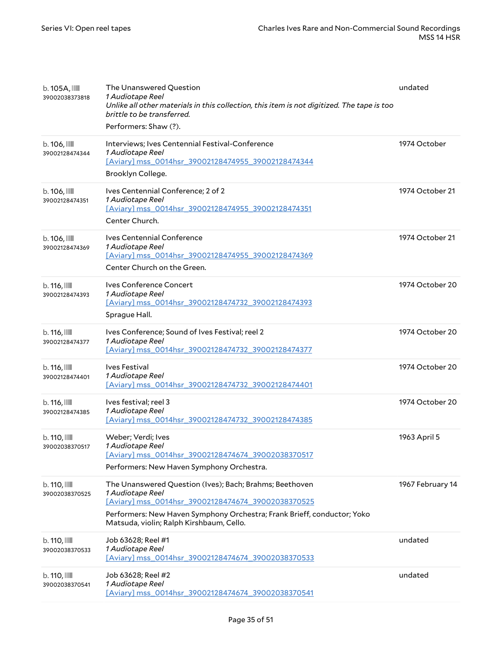| $b.105A$ , $III$<br>39002038373818 | The Unanswered Question<br>1 Audiotape Reel<br>Unlike all other materials in this collection, this item is not digitized. The tape is too<br>brittle to be transferred.<br>Performers: Shaw (?).                                                         | undated          |
|------------------------------------|----------------------------------------------------------------------------------------------------------------------------------------------------------------------------------------------------------------------------------------------------------|------------------|
| $b.106$ , $III$<br>39002128474344  | Interviews; Ives Centennial Festival-Conference<br>1 Audiotape Reel<br>[Aviary] mss_0014hsr_39002128474955_39002128474344<br>Brooklyn College.                                                                                                           | 1974 October     |
| $b.106$ , $III$<br>39002128474351  | Ives Centennial Conference; 2 of 2<br>1 Audiotape Reel<br>[Aviary] mss_0014hsr_39002128474955_39002128474351<br>Center Church.                                                                                                                           | 1974 October 21  |
| b. 106, IIII<br>39002128474369     | Ives Centennial Conference<br>1 Audiotape Reel<br>[Aviary] mss_0014hsr_39002128474955_39002128474369<br>Center Church on the Green.                                                                                                                      | 1974 October 21  |
| b. 116,<br>39002128474393          | Ives Conference Concert<br>1 Audiotape Reel<br>[Aviary] mss_0014hsr_39002128474732_39002128474393<br>Sprague Hall.                                                                                                                                       | 1974 October 20  |
| b. 116,<br>39002128474377          | Ives Conference; Sound of Ives Festival; reel 2<br>1 Audiotape Reel<br>[Aviary] mss_0014hsr_39002128474732_39002128474377                                                                                                                                | 1974 October 20  |
| b. 116,<br>39002128474401          | <b>Ives Festival</b><br>1 Audiotape Reel<br>[Aviary] mss 0014hsr 39002128474732 39002128474401                                                                                                                                                           | 1974 October 20  |
| b. 116,<br>39002128474385          | Ives festival; reel 3<br>1 Audiotape Reel<br>[Aviary] mss_0014hsr_39002128474732_39002128474385                                                                                                                                                          | 1974 October 20  |
| b. 110,<br>39002038370517          | Weber; Verdi; Ives<br><i>1 Audiotape Reel</i><br>[Aviary] mss 0014hsr 39002128474674 39002038370517<br>Performers: New Haven Symphony Orchestra.                                                                                                         | 1963 April 5     |
| b. 110,<br>39002038370525          | The Unanswered Question (Ives); Bach; Brahms; Beethoven<br>1 Audiotape Reel<br>[Aviary] mss 0014hsr 39002128474674 39002038370525<br>Performers: New Haven Symphony Orchestra; Frank Brieff, conductor; Yoko<br>Matsuda, violin; Ralph Kirshbaum, Cello. | 1967 February 14 |
| b. 110,<br>39002038370533          | Job 63628; Reel #1<br>1 Audiotape Reel<br>[Aviary] mss_0014hsr_39002128474674_39002038370533                                                                                                                                                             | undated          |
| b. 110,<br>39002038370541          | Job 63628; Reel #2<br>1 Audiotape Reel<br>[Aviary] mss_0014hsr_39002128474674_39002038370541                                                                                                                                                             | undated          |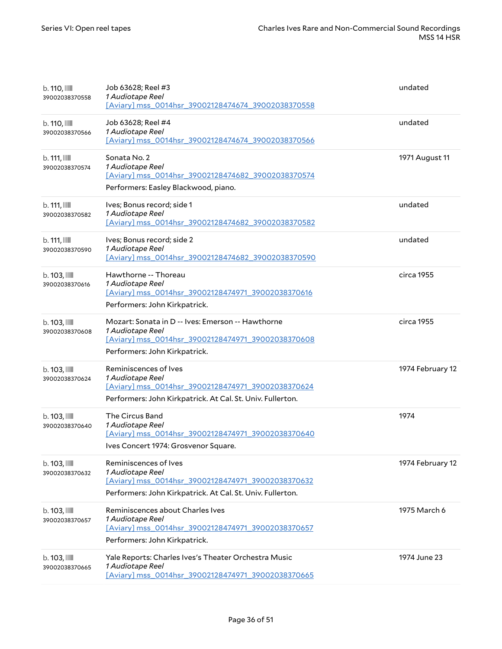| b. 110,<br>39002038370558         | Job 63628; Reel #3<br>1 Audiotape Reel<br>[Aviary] mss_0014hsr_39002128474674_39002038370558                                                                  | undated          |
|-----------------------------------|---------------------------------------------------------------------------------------------------------------------------------------------------------------|------------------|
| b. 110, IIII<br>39002038370566    | Job 63628; Reel #4<br>1 Audiotape Reel<br>[Aviary] mss_0014hsr_39002128474674_39002038370566                                                                  | undated          |
| b. 111,<br>39002038370574         | Sonata No. 2<br>1 Audiotape Reel<br>[Aviary] mss 0014hsr 39002128474682 39002038370574<br>Performers: Easley Blackwood, piano.                                | 1971 August 11   |
| b. 111,<br>39002038370582         | Ives; Bonus record; side 1<br>1 Audiotape Reel<br>[Aviary] mss_0014hsr_39002128474682_39002038370582                                                          | undated          |
| b. 111,<br>39002038370590         | Ives; Bonus record; side 2<br>1 Audiotape Reel<br>[Aviary] mss_0014hsr_39002128474682_39002038370590                                                          | undated          |
| $b.103$ , $III$<br>39002038370616 | Hawthorne -- Thoreau<br>1 Audiotape Reel<br>[Aviary] mss_0014hsr_39002128474971_39002038370616<br>Performers: John Kirkpatrick.                               | circa 1955       |
| $b.103$ , $III$<br>39002038370608 | Mozart: Sonata in D -- Ives: Emerson -- Hawthorne<br>1 Audiotape Reel<br>[Aviary] mss_0014hsr_39002128474971_39002038370608<br>Performers: John Kirkpatrick.  | circa 1955       |
| $b.103$ , $III$<br>39002038370624 | Reminiscences of Ives<br>1 Audiotape Reel<br>[Aviary] mss_0014hsr_39002128474971_39002038370624<br>Performers: John Kirkpatrick. At Cal. St. Univ. Fullerton. | 1974 February 12 |
| $b.103$ , $III$<br>39002038370640 | The Circus Band<br>1 Audiotape Reel<br>[Aviary] mss 0014hsr 39002128474971 39002038370640<br>Ives Concert 1974: Grosvenor Square.                             | 1974             |
| $b.103$ , $III$<br>39002038370632 | Reminiscences of Ives<br>1 Audiotape Reel<br>[Aviary] mss_0014hsr_39002128474971_39002038370632<br>Performers: John Kirkpatrick. At Cal. St. Univ. Fullerton. | 1974 February 12 |
| $b.103$ , $III$<br>39002038370657 | Reminiscences about Charles Ives<br>1 Audiotape Reel<br>[Aviary] mss_0014hsr_39002128474971_39002038370657<br>Performers: John Kirkpatrick.                   | 1975 March 6     |
| $b.103$ , $III$<br>39002038370665 | Yale Reports: Charles Ives's Theater Orchestra Music<br>1 Audiotape Reel<br>[Aviary] mss_0014hsr_39002128474971_39002038370665                                | 1974 June 23     |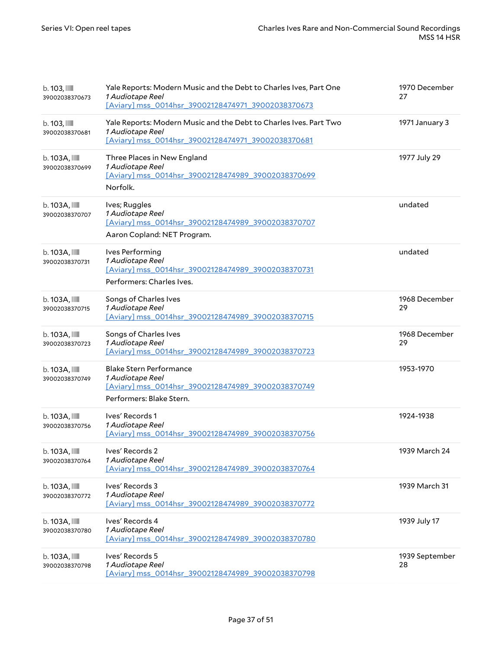| $b.103$ , $III$<br>39002038370673           | Yale Reports: Modern Music and the Debt to Charles Ives, Part One<br>1 Audiotape Reel<br>[Aviary] mss 0014hsr 39002128474971 39002038370673 | 1970 December<br>27  |
|---------------------------------------------|---------------------------------------------------------------------------------------------------------------------------------------------|----------------------|
| $b.103$ , $III$<br>39002038370681           | Yale Reports: Modern Music and the Debt to Charles Ives. Part Two<br>1 Audiotape Reel<br>[Aviary] mss 0014hsr 39002128474971 39002038370681 | 1971 January 3       |
| $b.103A$ , $\blacksquare$<br>39002038370699 | Three Places in New England<br>1 Audiotape Reel<br>[Aviary] mss_0014hsr_39002128474989_39002038370699<br>Norfolk.                           | 1977 July 29         |
| $b.103A$ , $\blacksquare$<br>39002038370707 | Ives; Ruggles<br>1 Audiotape Reel<br>[Aviary] mss 0014hsr 39002128474989 39002038370707<br>Aaron Copland: NET Program.                      | undated              |
| $b.103A$ , $\blacksquare$<br>39002038370731 | Ives Performing<br>1 Audiotape Reel<br>[Aviary] mss 0014hsr 39002128474989 39002038370731<br>Performers: Charles Ives.                      | undated              |
| $b.103A$ , $III$<br>39002038370715          | Songs of Charles Ives<br>1 Audiotape Reel<br>[Aviary] mss_0014hsr_39002128474989_39002038370715                                             | 1968 December<br>29  |
| $b.103A$ , $\blacksquare$<br>39002038370723 | Songs of Charles Ives<br>1 Audiotape Reel<br>[Aviary] mss 0014hsr 39002128474989 39002038370723                                             | 1968 December<br>29  |
| $b.103A$ , $\blacksquare$<br>39002038370749 | <b>Blake Stern Performance</b><br>1 Audiotape Reel<br>[Aviary] mss 0014hsr 39002128474989 39002038370749<br>Performers: Blake Stern.        | 1953-1970            |
| $b.103A$ , $\blacksquare$<br>39002038370756 | Ives' Records 1<br>1 Audiotape Reel<br>[Aviary] mss_0014hsr_39002128474989_39002038370756                                                   | 1924-1938            |
| $b.103A$ , $III$<br>39002038370764          | Ives' Records 2<br>1 Audiotape Reel<br>[Aviary] mss 0014hsr 39002128474989 39002038370764                                                   | 1939 March 24        |
| $b.103A$ , $III$<br>39002038370772          | Ives' Records 3<br>1 Audiotape Reel<br>[Aviary] mss 0014hsr 39002128474989 39002038370772                                                   | 1939 March 31        |
| $b.103A$ , $III$<br>39002038370780          | Ives' Records 4<br>1 Audiotape Reel<br>[Aviary] mss 0014hsr 39002128474989 39002038370780                                                   | 1939 July 17         |
| $b.103A$ , $III$<br>39002038370798          | Ives' Records 5<br>1 Audiotape Reel<br>[Aviary] mss_0014hsr_39002128474989_39002038370798                                                   | 1939 September<br>28 |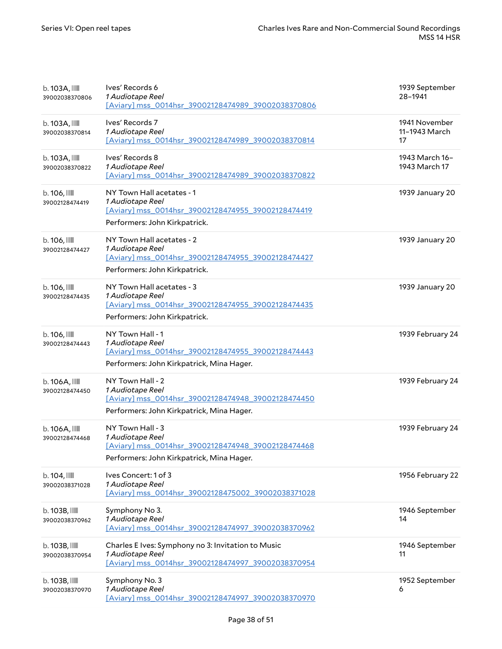| $b.103A$ , $\blacksquare$<br>39002038370806 | Ives' Records 6<br>1 Audiotape Reel<br>[Aviary] mss 0014hsr 39002128474989 39002038370806                                               | 1939 September<br>28-1941            |
|---------------------------------------------|-----------------------------------------------------------------------------------------------------------------------------------------|--------------------------------------|
| $b.103A$ , $III$<br>39002038370814          | Ives' Records 7<br>1 Audiotape Reel<br>[Aviary] mss_0014hsr_39002128474989_39002038370814                                               | 1941 November<br>11-1943 March<br>17 |
| $b.103A$ , $III$<br>39002038370822          | Ives' Records 8<br>1 Audiotape Reel<br>[Aviary] mss_0014hsr_39002128474989_39002038370822                                               | 1943 March 16-<br>1943 March 17      |
| $b.106$ , $III$<br>39002128474419           | NY Town Hall acetates - 1<br>1 Audiotape Reel<br>[Aviary] mss_0014hsr_39002128474955_39002128474419<br>Performers: John Kirkpatrick.    | 1939 January 20                      |
| $b.106$ , $III$<br>39002128474427           | NY Town Hall acetates - 2<br>1 Audiotape Reel<br>[Aviary] mss 0014hsr 39002128474955 39002128474427<br>Performers: John Kirkpatrick.    | 1939 January 20                      |
| $b.106$ , $III$<br>39002128474435           | NY Town Hall acetates - 3<br>1 Audiotape Reel<br>[Aviary] mss_0014hsr_39002128474955_39002128474435<br>Performers: John Kirkpatrick.    | 1939 January 20                      |
| $b.106$ , $III$<br>39002128474443           | NY Town Hall - 1<br>1 Audiotape Reel<br>[Aviary] mss 0014hsr 39002128474955 39002128474443<br>Performers: John Kirkpatrick, Mina Hager. | 1939 February 24                     |
| $b.106A$ , $III$<br>39002128474450          | NY Town Hall - 2<br>1 Audiotape Reel<br>[Aviary] mss 0014hsr 39002128474948 39002128474450<br>Performers: John Kirkpatrick, Mina Hager. | 1939 February 24                     |
| $b.106A$ , $III$<br>39002128474468          | NY Town Hall - 3<br>1 Audiotape Reel<br>[Aviary] mss_0014hsr_39002128474948_39002128474468<br>Performers: John Kirkpatrick, Mina Hager. | 1939 February 24                     |
| $b.104$ , $\blacksquare$<br>39002038371028  | Ives Concert: 1 of 3<br>1 Audiotape Reel<br>[Aviary] mss_0014hsr_39002128475002_39002038371028                                          | 1956 February 22                     |
| $b.103B$ , $III$<br>39002038370962          | Symphony No 3.<br>1 Audiotape Reel<br>[Aviary] mss_0014hsr_39002128474997_39002038370962                                                | 1946 September<br>14                 |
| b. 103B,<br>39002038370954                  | Charles E Ives: Symphony no 3: Invitation to Music<br>1 Audiotape Reel<br>[Aviary] mss_0014hsr_39002128474997_39002038370954            | 1946 September<br>11                 |
| $b.103B$ , $III$<br>39002038370970          | Symphony No. 3<br>1 Audiotape Reel<br>[Aviary] mss_0014hsr_39002128474997_39002038370970                                                | 1952 September<br>6                  |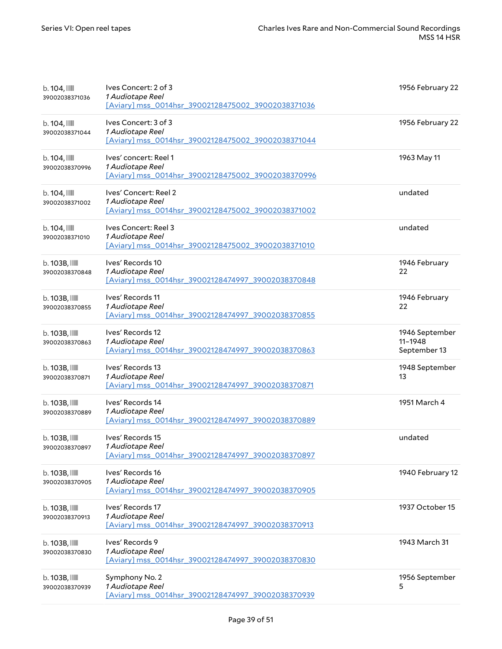| $b.104$ , $III$<br>39002038371036          | Ives Concert: 2 of 3<br>1 Audiotape Reel<br>[Aviary] mss 0014hsr 39002128475002 39002038371036  | 1956 February 22                          |
|--------------------------------------------|-------------------------------------------------------------------------------------------------|-------------------------------------------|
| $b.104$ , $III$<br>39002038371044          | Ives Concert: 3 of 3<br>1 Audiotape Reel<br>[Aviary] mss_0014hsr_39002128475002_39002038371044  | 1956 February 22                          |
| $b.104$ , $\blacksquare$<br>39002038370996 | Ives' concert: Reel 1<br>1 Audiotape Reel<br>[Aviary] mss_0014hsr_39002128475002_39002038370996 | 1963 May 11                               |
| $b.104$ , $III$<br>39002038371002          | Ives' Concert: Reel 2<br>1 Audiotape Reel<br>[Aviary] mss_0014hsr_39002128475002_39002038371002 | undated                                   |
| $b.104$ , $III$<br>39002038371010          | Ives Concert: Reel 3<br>1 Audiotape Reel<br>[Aviary] mss_0014hsr_39002128475002_39002038371010  | undated                                   |
| b. 103B, IIII<br>39002038370848            | Ives' Records 10<br>1 Audiotape Reel<br>[Aviary] mss_0014hsr_39002128474997_39002038370848      | 1946 February<br>22                       |
| $b.103B$ ,<br>39002038370855               | Ives' Records 11<br>1 Audiotape Reel<br>[Aviary] mss 0014hsr 39002128474997 39002038370855      | 1946 February<br>22                       |
| $b.103B$ , $III$<br>39002038370863         | Ives' Records 12<br>1 Audiotape Reel<br>[Aviary] mss 0014hsr 39002128474997 39002038370863      | 1946 September<br>11-1948<br>September 13 |
| $b.103B$ ,<br>39002038370871               | Ives' Records 13<br>1 Audiotape Reel<br>[Aviary] mss_0014hsr_39002128474997_39002038370871      | 1948 September<br>13                      |
| $b.103B$ , $III$<br>39002038370889         | Ives' Records 14<br>1 Audiotape Reel<br>[Aviary] mss_0014hsr_39002128474997_39002038370889      | 1951 March 4                              |
| $b.103B$ , $III$<br>39002038370897         | Ives' Records 15<br>1 Audiotape Reel<br>[Aviary] mss_0014hsr_39002128474997_39002038370897      | undated                                   |
| $b.103B$ , $III$<br>39002038370905         | Ives' Records 16<br>1 Audiotape Reel<br>[Aviary] mss_0014hsr_39002128474997_39002038370905      | 1940 February 12                          |
| $b.103B$ , $III$<br>39002038370913         | Ives' Records 17<br>1 Audiotape Reel<br>[Aviary] mss_0014hsr_39002128474997_39002038370913      | 1937 October 15                           |
| $b.103B$ , $III$<br>39002038370830         | Ives' Records 9<br>1 Audiotape Reel<br>[Aviary] mss 0014hsr 39002128474997 39002038370830       | 1943 March 31                             |
| $b.103B$ , $III$<br>39002038370939         | Symphony No. 2<br>1 Audiotape Reel<br>[Aviary] mss_0014hsr_39002128474997_39002038370939        | 1956 September<br>5                       |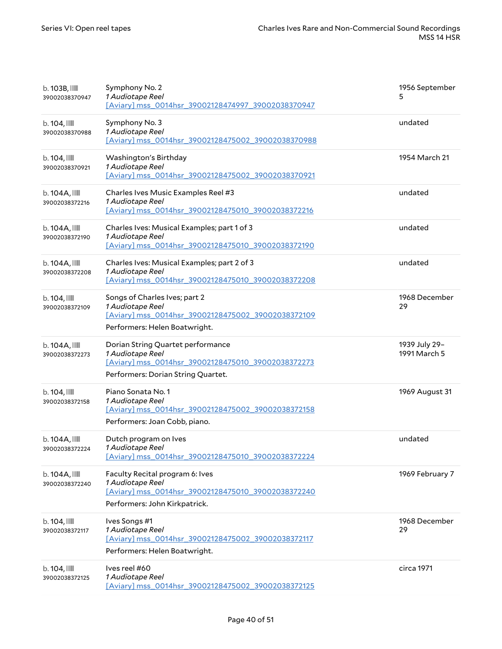| $b.103B$ , $III$<br>39002038370947          | Symphony No. 2<br>1 Audiotape Reel<br>[Aviary] mss_0014hsr_39002128474997_39002038370947                                                          | 1956 September<br>5           |
|---------------------------------------------|---------------------------------------------------------------------------------------------------------------------------------------------------|-------------------------------|
| $b.104$ , $\blacksquare$<br>39002038370988  | Symphony No. 3<br>1 Audiotape Reel<br>[Aviary] mss_0014hsr_39002128475002_39002038370988                                                          | undated                       |
| $b.104$ , $\blacksquare$<br>39002038370921  | Washington's Birthday<br>1 Audiotape Reel<br>[Aviary] mss_0014hsr_39002128475002_39002038370921                                                   | 1954 March 21                 |
| $b.104A$ , $\blacksquare$<br>39002038372216 | Charles Ives Music Examples Reel #3<br>1 Audiotape Reel<br>[Aviary] mss_0014hsr_39002128475010_39002038372216                                     | undated                       |
| $b.104A$ , $III$<br>39002038372190          | Charles Ives: Musical Examples; part 1 of 3<br>1 Audiotape Reel<br>[Aviary] mss_0014hsr_39002128475010_39002038372190                             | undated                       |
| $b.104A$ , $\blacksquare$<br>39002038372208 | Charles Ives: Musical Examples; part 2 of 3<br>1 Audiotape Reel<br>[Aviary] mss 0014hsr 39002128475010 39002038372208                             | undated                       |
| $b.104$ , $\blacksquare$<br>39002038372109  | Songs of Charles Ives; part 2<br>1 Audiotape Reel<br>[Aviary] mss 0014hsr 39002128475002 39002038372109<br>Performers: Helen Boatwright.          | 1968 December<br>29           |
| $b.104A$ , $III$<br>39002038372273          | Dorian String Quartet performance<br>1 Audiotape Reel<br>[Aviary] mss_0014hsr_39002128475010_39002038372273<br>Performers: Dorian String Quartet. | 1939 July 29-<br>1991 March 5 |
| $b.104$ , $\blacksquare$<br>39002038372158  | Piano Sonata No. 1<br>1 Audiotape Reel<br>[Aviary] mss_0014hsr_39002128475002_39002038372158<br>Performers: Joan Cobb, piano.                     | 1969 August 31                |
| $b.104A$ , $\blacksquare$<br>39002038372224 | Dutch program on Ives<br><i>1 Audiotape Reel</i><br>[Aviary] mss_0014hsr_39002128475010_39002038372224                                            | undated                       |
| $b.104A$ , $\blacksquare$<br>39002038372240 | Faculty Recital program 6: Ives<br>1 Audiotape Reel<br>[Aviary] mss_0014hsr_39002128475010_39002038372240<br>Performers: John Kirkpatrick.        | 1969 February 7               |
| $b.104$ , $\blacksquare$<br>39002038372117  | Ives Songs #1<br>1 Audiotape Reel<br>[Aviary] mss_0014hsr_39002128475002_39002038372117<br>Performers: Helen Boatwright.                          | 1968 December<br>29           |
| $b.104$ , $\blacksquare$<br>39002038372125  | Ives reel #60<br>1 Audiotape Reel<br>[Aviary] mss 0014hsr 39002128475002 39002038372125                                                           | circa 1971                    |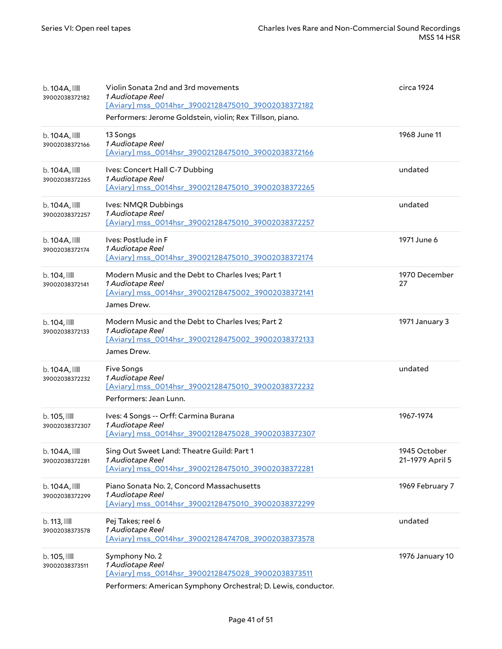| $b.104A$ , $\blacksquare$<br>39002038372182 | Violin Sonata 2nd and 3rd movements<br>1 Audiotape Reel<br>[Aviary] mss 0014hsr 39002128475010 39002038372182<br>Performers: Jerome Goldstein, violin; Rex Tillson, piano. | circa 1924                      |
|---------------------------------------------|----------------------------------------------------------------------------------------------------------------------------------------------------------------------------|---------------------------------|
| $b.104A$ , $III$<br>39002038372166          | 13 Songs<br>1 Audiotape Reel<br>[Aviary] mss 0014hsr 39002128475010 39002038372166                                                                                         | 1968 June 11                    |
| $b.104A$ ,<br>39002038372265                | Ives: Concert Hall C-7 Dubbing<br>1 Audiotape Reel<br>[Aviary] mss 0014hsr 39002128475010 39002038372265                                                                   | undated                         |
| $b.104A$ , $\blacksquare$<br>39002038372257 | Ives: NMQR Dubbings<br>1 Audiotape Reel<br>[Aviary] mss 0014hsr 39002128475010 39002038372257                                                                              | undated                         |
| $b.104A$ , $III$<br>39002038372174          | Ives: Postlude in F<br>1 Audiotape Reel<br>[Aviary] mss 0014hsr 39002128475010 39002038372174                                                                              | 1971 June 6                     |
| $b.104$ , $\blacksquare$<br>39002038372141  | Modern Music and the Debt to Charles Ives; Part 1<br>1 Audiotape Reel<br>[Aviary] mss_0014hsr_39002128475002_39002038372141<br>James Drew.                                 | 1970 December<br>27             |
| $b.104$ , $\blacksquare$<br>39002038372133  | Modern Music and the Debt to Charles Ives; Part 2<br>1 Audiotape Reel<br>[Aviary] mss_0014hsr_39002128475002_39002038372133<br>James Drew.                                 | 1971 January 3                  |
| $b.104A$ , $\blacksquare$<br>39002038372232 | <b>Five Songs</b><br>1 Audiotape Reel<br>[Aviary] mss 0014hsr 39002128475010 39002038372232<br>Performers: Jean Lunn.                                                      | undated                         |
| $b.105$ , $\mathbb{III}$<br>39002038372307  | Ives: 4 Songs -- Orff: Carmina Burana<br>1 Audiotape Reel<br>[Aviary] mss 0014hsr 39002128475028 39002038372307                                                            | 1967-1974                       |
| $b.104A$ , $\blacksquare$<br>39002038372281 | Sing Out Sweet Land: Theatre Guild: Part 1<br>1 Audiotape Reel<br>[Aviary] mss 0014hsr 39002128475010 39002038372281                                                       | 1945 October<br>21-1979 April 5 |
| $b.104A$ , $III$<br>39002038372299          | Piano Sonata No. 2, Concord Massachusetts<br>1 Audiotape Reel<br>[Aviary] mss_0014hsr_39002128475010_39002038372299                                                        | 1969 February 7                 |
| b. 113,<br>39002038373578                   | Pej Takes; reel 6<br>1 Audiotape Reel<br>[Aviary] mss_0014hsr_39002128474708_39002038373578                                                                                | undated                         |
| $b.105$ , $III$<br>39002038373511           | Symphony No. 2<br>1 Audiotape Reel<br>[Aviary] mss_0014hsr_39002128475028_39002038373511<br>Performers: American Symphony Orchestral; D. Lewis, conductor.                 | 1976 January 10                 |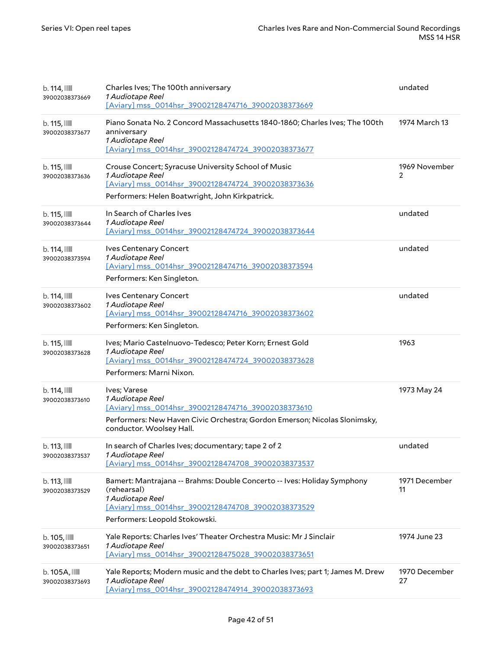| $b.114$ , $\blacksquare$<br>39002038373669 | Charles Ives; The 100th anniversary<br>1 Audiotape Reel<br>[Aviary] mss_0014hsr_39002128474716_39002038373669                                                                                      | undated             |
|--------------------------------------------|----------------------------------------------------------------------------------------------------------------------------------------------------------------------------------------------------|---------------------|
| b. 115,<br>39002038373677                  | Piano Sonata No. 2 Concord Massachusetts 1840-1860; Charles Ives; The 100th<br>anniversary<br>1 Audiotape Reel<br>[Aviary] mss 0014hsr 39002128474724 39002038373677                               | 1974 March 13       |
| b. 115,<br>39002038373636                  | Crouse Concert; Syracuse University School of Music<br>1 Audiotape Reel<br>[Aviary] mss 0014hsr 39002128474724 39002038373636<br>Performers: Helen Boatwright, John Kirkpatrick.                   | 1969 November<br>2  |
| b. 115,<br>39002038373644                  | In Search of Charles Ives<br>1 Audiotape Reel<br>[Aviary] mss_0014hsr_39002128474724_39002038373644                                                                                                | undated             |
| b. 114,<br>39002038373594                  | <b>Ives Centenary Concert</b><br>1 Audiotape Reel<br>[Aviary] mss_0014hsr_39002128474716_39002038373594<br>Performers: Ken Singleton.                                                              | undated             |
| $b.114$ , $\blacksquare$<br>39002038373602 | Ives Centenary Concert<br>1 Audiotape Reel<br>[Aviary] mss_0014hsr_39002128474716_39002038373602<br>Performers: Ken Singleton.                                                                     | undated             |
| b. 115,<br>39002038373628                  | Ives; Mario Castelnuovo-Tedesco; Peter Korn; Ernest Gold<br>1 Audiotape Reel<br>[Aviary] mss_0014hsr_39002128474724_39002038373628<br>Performers: Marni Nixon.                                     | 1963                |
| b.114,<br>39002038373610                   | Ives; Varese<br>1 Audiotape Reel<br>[Aviary] mss_0014hsr_39002128474716_39002038373610<br>Performers: New Haven Civic Orchestra; Gordon Emerson; Nicolas Slonimsky,<br>conductor. Woolsey Hall.    | 1973 May 24         |
| b. 113,<br>39002038373537                  | In search of Charles Ives; documentary; tape 2 of 2<br><i>1 Audiotape Reel</i><br>[Aviary] mss 0014hsr 39002128474708 39002038373537                                                               | undated             |
| b. 113,<br>39002038373529                  | Bamert: Mantrajana -- Brahms: Double Concerto -- Ives: Holiday Symphony<br>(rehearsal)<br>1 Audiotape Reel<br>[Aviary] mss_0014hsr_39002128474708_39002038373529<br>Performers: Leopold Stokowski. | 1971 December<br>11 |
| $b.105$ , $\mathbb{III}$<br>39002038373651 | Yale Reports: Charles Ives' Theater Orchestra Music: Mr J Sinclair<br>1 Audiotape Reel<br>[Aviary] mss_0014hsr_39002128475028_39002038373651                                                       | 1974 June 23        |
| $b.105A$ , $III$<br>39002038373693         | Yale Reports; Modern music and the debt to Charles Ives; part 1; James M. Drew<br>1 Audiotape Reel<br>[Aviary] mss_0014hsr_39002128474914_39002038373693                                           | 1970 December<br>27 |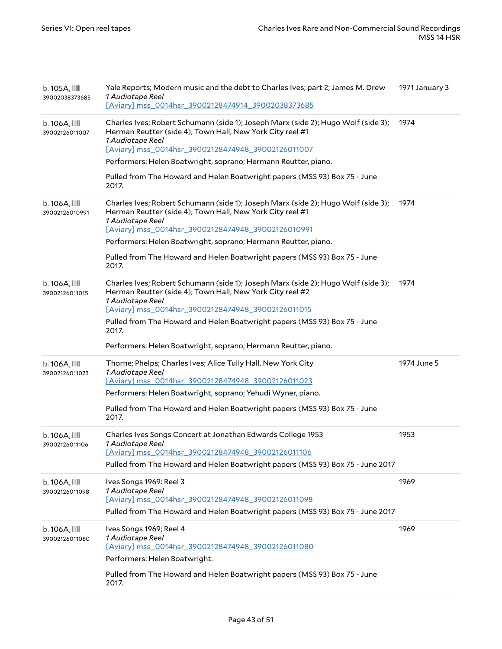| $b.105A$ , $III$<br>39002038373685          | Yale Reports; Modern music and the debt to Charles Ives; part 2; James M. Drew<br>1 Audiotape Reel<br>[Aviary] mss 0014hsr 39002128474914 39002038373685                                                                                                                                   | 1971 January 3 |
|---------------------------------------------|--------------------------------------------------------------------------------------------------------------------------------------------------------------------------------------------------------------------------------------------------------------------------------------------|----------------|
| $b.106A$ , $III$<br>39002126011007          | Charles Ives; Robert Schumann (side 1); Joseph Marx (side 2); Hugo Wolf (side 3);<br>Herman Reutter (side 4); Town Hall, New York City reel #1<br>1 Audiotape Reel<br>[Aviary] mss_0014hsr_39002128474948_39002126011007<br>Performers: Helen Boatwright, soprano; Hermann Reutter, piano. | 1974           |
|                                             | Pulled from The Howard and Helen Boatwright papers (MSS 93) Box 75 - June<br>2017.                                                                                                                                                                                                         |                |
| $b.106A$ , $\blacksquare$<br>39002126010991 | Charles Ives; Robert Schumann (side 1); Joseph Marx (side 2); Hugo Wolf (side 3);<br>Herman Reutter (side 4); Town Hall, New York City reel #1<br>1 Audiotape Reel<br>[Aviary] mss_0014hsr_39002128474948_39002126010991                                                                   | 1974           |
|                                             | Performers: Helen Boatwright, soprano; Hermann Reutter, piano.                                                                                                                                                                                                                             |                |
|                                             | Pulled from The Howard and Helen Boatwright papers (MSS 93) Box 75 - June<br>2017.                                                                                                                                                                                                         |                |
| $b.106A$ , $III$<br>39002126011015          | Charles Ives; Robert Schumann (side 1); Joseph Marx (side 2); Hugo Wolf (side 3);<br>Herman Reutter (side 4); Town Hall, New York City reel #2<br>1 Audiotape Reel                                                                                                                         | 1974           |
|                                             | [Aviary] mss 0014hsr 39002128474948 39002126011015                                                                                                                                                                                                                                         |                |
|                                             | Pulled from The Howard and Helen Boatwright papers (MSS 93) Box 75 - June<br>2017.                                                                                                                                                                                                         |                |
|                                             |                                                                                                                                                                                                                                                                                            |                |
|                                             | Performers: Helen Boatwright, soprano; Hermann Reutter, piano.                                                                                                                                                                                                                             |                |
| $b.106A$ , $III$<br>39002126011023          | Thorne; Phelps; Charles Ives; Alice Tully Hall, New York City<br>1 Audiotape Reel                                                                                                                                                                                                          | 1974 June 5    |
|                                             | [Aviary] mss 0014hsr 39002128474948 39002126011023<br>Performers: Helen Boatwright, soprano; Yehudi Wyner, piano.                                                                                                                                                                          |                |
|                                             | Pulled from The Howard and Helen Boatwright papers (MSS 93) Box 75 - June<br>2017.                                                                                                                                                                                                         |                |
| $b.106A$ , $\blacksquare$<br>39002126011106 | Charles Ives Songs Concert at Jonathan Edwards College 1953<br>1 Audiotape Reel<br>[Aviary] mss 0014hsr 39002128474948 39002126011106                                                                                                                                                      | 1953           |
|                                             | Pulled from The Howard and Helen Boatwright papers (MSS 93) Box 75 - June 2017                                                                                                                                                                                                             |                |
| $b.106A$ , $III$<br>39002126011098          | Ives Songs 1969: Reel 3<br>1 Audiotape Reel                                                                                                                                                                                                                                                | 1969           |
|                                             | [Aviary] mss_0014hsr_39002128474948_39002126011098                                                                                                                                                                                                                                         |                |
|                                             | Pulled from The Howard and Helen Boatwright papers (MSS 93) Box 75 - June 2017                                                                                                                                                                                                             |                |
| $b.106A$ , $III$<br>39002126011080          | Ives Songs 1969; Reel 4<br>1 Audiotape Reel<br>[Aviary] mss_0014hsr_39002128474948_39002126011080                                                                                                                                                                                          | 1969           |
|                                             | Performers: Helen Boatwright.                                                                                                                                                                                                                                                              |                |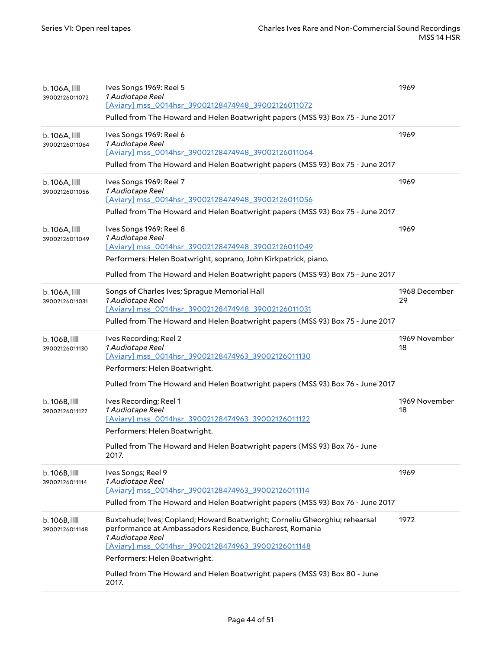| $b.106A$ , $\blacksquare$<br>39002126011072 | Ives Songs 1969: Reel 5<br>1 Audiotape Reel<br>[Aviary] mss 0014hsr 39002128474948 39002126011072<br>Pulled from The Howard and Helen Boatwright papers (MSS 93) Box 75 - June 2017                                                                    | 1969                |
|---------------------------------------------|--------------------------------------------------------------------------------------------------------------------------------------------------------------------------------------------------------------------------------------------------------|---------------------|
| $b.106A$ , $III$<br>39002126011064          | Ives Songs 1969: Reel 6<br>1 Audiotape Reel<br>[Aviary] mss_0014hsr_39002128474948_39002126011064<br>Pulled from The Howard and Helen Boatwright papers (MSS 93) Box 75 - June 2017                                                                    | 1969                |
| $b.106A$ , $III$<br>39002126011056          | Ives Songs 1969: Reel 7<br>1 Audiotape Reel<br>[Aviary] mss 0014hsr 39002128474948 39002126011056<br>Pulled from The Howard and Helen Boatwright papers (MSS 93) Box 75 - June 2017                                                                    | 1969                |
| $b.106A$ , $\blacksquare$<br>39002126011049 | Ives Songs 1969: Reel 8<br>1 Audiotape Reel<br>[Aviary] mss_0014hsr_39002128474948_39002126011049<br>Performers: Helen Boatwright, soprano, John Kirkpatrick, piano.<br>Pulled from The Howard and Helen Boatwright papers (MSS 93) Box 75 - June 2017 | 1969                |
| $b.106A$ , $III$<br>39002126011031          | Songs of Charles Ives; Sprague Memorial Hall<br>1 Audiotape Reel<br>[Aviary] mss 0014hsr 39002128474948 39002126011031<br>Pulled from The Howard and Helen Boatwright papers (MSS 93) Box 75 - June 2017                                               | 1968 December<br>29 |
|                                             |                                                                                                                                                                                                                                                        |                     |
| $b.106B$ , $III$<br>39002126011130          | Ives Recording; Reel 2<br>1 Audiotape Reel<br>[Aviary] mss_0014hsr_39002128474963_39002126011130<br>Performers: Helen Boatwright.<br>Pulled from The Howard and Helen Boatwright papers (MSS 93) Box 76 - June 2017                                    | 1969 November<br>18 |
| $b.106B$ , $III$<br>39002126011122          | Ives Recording; Reel 1<br>1 Audiotape Reel<br>[Aviary] mss 0014hsr 39002128474963 39002126011122<br>Performers: Helen Boatwright.<br>Pulled from The Howard and Helen Boatwright papers (MSS 93) Box 76 - June<br>2017.                                | 1969 November<br>18 |
| $b.106B$ , $III$<br>39002126011114          | Ives Songs; Reel 9<br>1 Audiotape Reel<br>[Aviary] mss 0014hsr 39002128474963 39002126011114<br>Pulled from The Howard and Helen Boatwright papers (MSS 93) Box 76 - June 2017                                                                         | 1969                |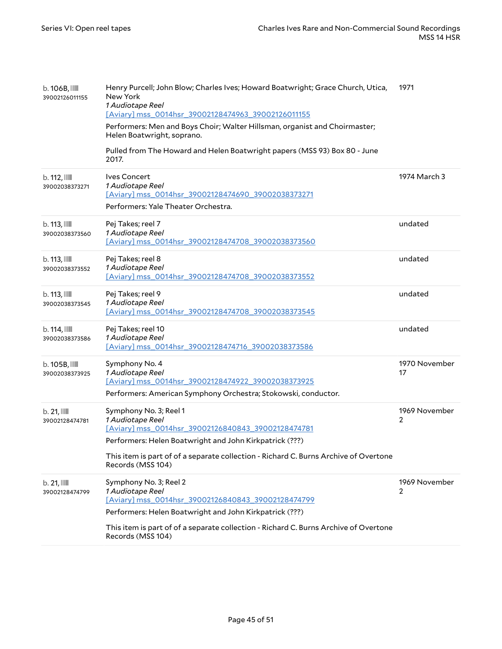| $b.106B$ , $III$<br>39002126011155          | Henry Purcell; John Blow; Charles Ives; Howard Boatwright; Grace Church, Utica,<br>New York<br>1 Audiotape Reel<br>[Aviary] mss_0014hsr_39002128474963_39002126011155<br>Performers: Men and Boys Choir; Walter Hillsman, organist and Choirmaster;<br>Helen Boatwright, soprano.<br>Pulled from The Howard and Helen Boatwright papers (MSS 93) Box 80 - June<br>2017. | 1971                |
|---------------------------------------------|-------------------------------------------------------------------------------------------------------------------------------------------------------------------------------------------------------------------------------------------------------------------------------------------------------------------------------------------------------------------------|---------------------|
| b.112,<br>39002038373271                    | Ives Concert<br>1 Audiotape Reel<br>[Aviary] mss_0014hsr_39002128474690_39002038373271<br>Performers: Yale Theater Orchestra.                                                                                                                                                                                                                                           | 1974 March 3        |
| b. 113,<br>39002038373560                   | Pej Takes; reel 7<br>1 Audiotape Reel<br>[Aviary] mss_0014hsr_39002128474708_39002038373560                                                                                                                                                                                                                                                                             | undated             |
| b. 113,<br>39002038373552                   | Pej Takes; reel 8<br>1 Audiotape Reel<br>[Aviary] mss_0014hsr_39002128474708_39002038373552                                                                                                                                                                                                                                                                             | undated             |
| b. 113,<br>39002038373545                   | Pej Takes; reel 9<br>1 Audiotape Reel<br>[Aviary] mss 0014hsr 39002128474708 39002038373545                                                                                                                                                                                                                                                                             | undated             |
| b. 114,<br>39002038373586                   | Pej Takes; reel 10<br>1 Audiotape Reel<br>[Aviary] mss_0014hsr_39002128474716_39002038373586                                                                                                                                                                                                                                                                            | undated             |
| $b.105B$ , $\blacksquare$<br>39002038373925 | Symphony No. 4<br>1 Audiotape Reel<br>[Aviary] mss 0014hsr 39002128474922 39002038373925<br>Performers: American Symphony Orchestra; Stokowski, conductor.                                                                                                                                                                                                              | 1970 November<br>17 |
| $b.21$ , $\blacksquare$<br>39002128474781   | Symphony No. 3; Reel 1<br>1 Audiotape Reel<br>[Aviary] mss 0014hsr 39002126840843 39002128474781<br>Performers: Helen Boatwright and John Kirkpatrick (???)<br>This item is part of of a separate collection - Richard C. Burns Archive of Overtone<br>Records (MSS 104)                                                                                                | 1969 November<br>2  |
| $b.21$ , $\blacksquare$<br>39002128474799   | Symphony No. 3; Reel 2<br>1 Audiotape Reel<br>[Aviary] mss_0014hsr_39002126840843_39002128474799<br>Performers: Helen Boatwright and John Kirkpatrick (???)<br>This item is part of of a separate collection - Richard C. Burns Archive of Overtone<br>Records (MSS 104)                                                                                                | 1969 November<br>2  |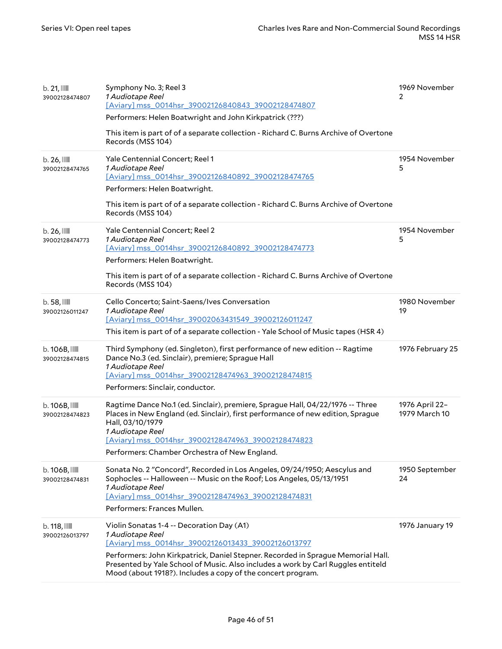| $b. 21$ , $\blacksquare$<br>39002128474807 | Symphony No. 3; Reel 3<br>1 Audiotape Reel<br>[Aviary] mss 0014hsr 39002126840843 39002128474807<br>Performers: Helen Boatwright and John Kirkpatrick (???)<br>This item is part of of a separate collection - Richard C. Burns Archive of Overtone<br>Records (MSS 104)                                                                                   | 1969 November<br>2              |
|--------------------------------------------|------------------------------------------------------------------------------------------------------------------------------------------------------------------------------------------------------------------------------------------------------------------------------------------------------------------------------------------------------------|---------------------------------|
| $b.26$ , $III$<br>39002128474765           | Yale Centennial Concert; Reel 1<br>1 Audiotape Reel<br>[Aviary] mss 0014hsr 39002126840892 39002128474765<br>Performers: Helen Boatwright.<br>This item is part of of a separate collection - Richard C. Burns Archive of Overtone<br>Records (MSS 104)                                                                                                    | 1954 November<br>5              |
| $b.26$ , $\blacksquare$<br>39002128474773  | Yale Centennial Concert; Reel 2<br>1 Audiotape Reel<br>[Aviary] mss 0014hsr 39002126840892 39002128474773<br>Performers: Helen Boatwright.<br>This item is part of of a separate collection - Richard C. Burns Archive of Overtone<br>Records (MSS 104)                                                                                                    | 1954 November<br>5              |
| $b.58$ , $III$<br>39002126011247           | Cello Concerto; Saint-Saens/Ives Conversation<br>1 Audiotape Reel<br>[Aviary] mss 0014hsr 39002063431549 39002126011247<br>This item is part of of a separate collection - Yale School of Music tapes (HSR 4)                                                                                                                                              | 1980 November<br>19             |
| $b.106B$ , $III$<br>39002128474815         | Third Symphony (ed. Singleton), first performance of new edition -- Ragtime<br>Dance No.3 (ed. Sinclair), premiere; Sprague Hall<br>1 Audiotape Reel<br>[Aviary] mss 0014hsr 39002128474963 39002128474815<br>Performers: Sinclair, conductor.                                                                                                             | 1976 February 25                |
| $b.106B$ , $III$<br>39002128474823         | Ragtime Dance No.1 (ed. Sinclair), premiere, Sprague Hall, 04/22/1976 -- Three<br>Places in New England (ed. Sinclair), first performance of new edition, Sprague<br>Hall, 03/10/1979<br>1 Audiotape Reel<br>[Aviary] mss_0014hsr_39002128474963_39002128474823<br>Performers: Chamber Orchestra of New England.                                           | 1976 April 22-<br>1979 March 10 |
| $b.106B$ , $III$<br>39002128474831         | Sonata No. 2 "Concord", Recorded in Los Angeles, 09/24/1950; Aescylus and<br>Sophocles -- Halloween -- Music on the Roof; Los Angeles, 05/13/1951<br>1 Audiotape Reel<br>[Aviary] mss_0014hsr_39002128474963_39002128474831<br>Performers: Frances Mullen.                                                                                                 | 1950 September<br>24            |
| b. 118,<br>39002126013797                  | Violin Sonatas 1-4 -- Decoration Day (A1)<br>1 Audiotape Reel<br>[Aviary] mss_0014hsr_39002126013433_39002126013797<br>Performers: John Kirkpatrick, Daniel Stepner. Recorded in Sprague Memorial Hall.<br>Presented by Yale School of Music. Also includes a work by Carl Ruggles entiteld<br>Mood (about 1918?). Includes a copy of the concert program. | 1976 January 19                 |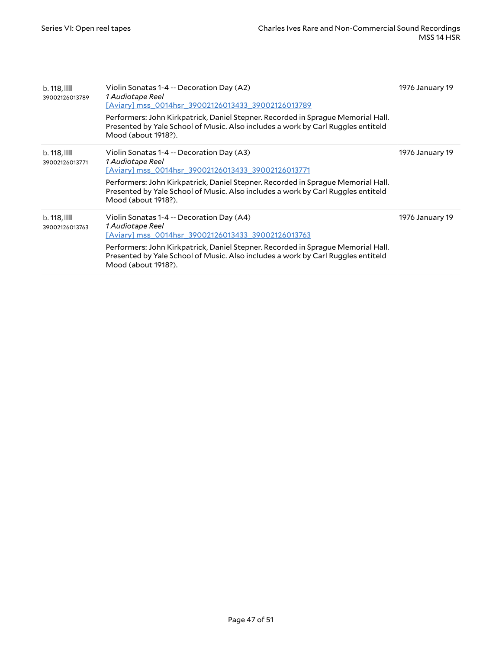| b. 118,<br>39002126013789          | Violin Sonatas 1-4 -- Decoration Day (A2)<br><i>1 Audiotape Reel</i><br>[Aviary] mss 0014hsr 39002126013433 39002126013789<br>Performers: John Kirkpatrick, Daniel Stepner. Recorded in Sprague Memorial Hall.<br>Presented by Yale School of Music. Also includes a work by Carl Ruggles entiteld<br>Mood (about 1918?). | 1976 January 19 |
|------------------------------------|---------------------------------------------------------------------------------------------------------------------------------------------------------------------------------------------------------------------------------------------------------------------------------------------------------------------------|-----------------|
| b. 118,<br>39002126013771          | Violin Sonatas 1-4 -- Decoration Day (A3)<br><i>1 Audiotape Reel</i><br>[Aviary] mss 0014hsr 39002126013433 39002126013771<br>Performers: John Kirkpatrick, Daniel Stepner. Recorded in Sprague Memorial Hall.<br>Presented by Yale School of Music. Also includes a work by Carl Ruggles entiteld<br>Mood (about 1918?). | 1976 January 19 |
| $b. 118$ , $III$<br>39002126013763 | Violin Sonatas 1-4 -- Decoration Day (A4)<br><i>1 Audiotape Reel</i><br>[Aviary] mss 0014hsr 39002126013433 39002126013763<br>Performers: John Kirkpatrick, Daniel Stepner. Recorded in Sprague Memorial Hall.<br>Presented by Yale School of Music. Also includes a work by Carl Ruggles entiteld<br>Mood (about 1918?). | 1976 January 19 |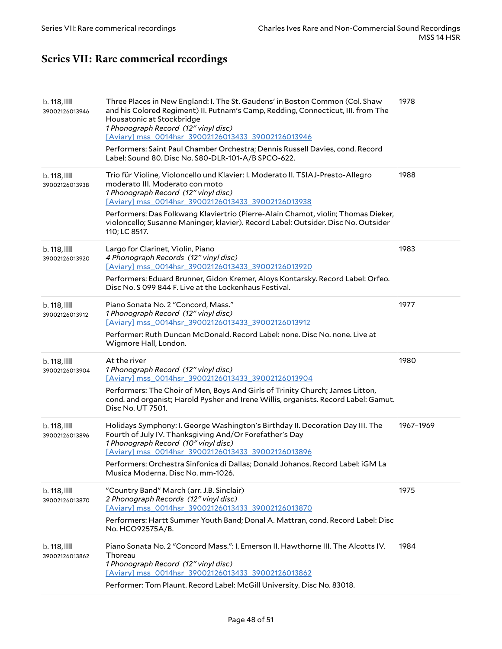# <span id="page-47-0"></span>**Series VII: Rare commerical recordings**

| b. 118,<br>39002126013946 | Three Places in New England: I. The St. Gaudens' in Boston Common (Col. Shaw<br>and his Colored Regiment) II. Putnam's Camp, Redding, Connecticut, III. from The<br>Housatonic at Stockbridge<br>1 Phonograph Record (12" vinyl disc)<br>[Aviary] mss 0014hsr 39002126013433 39002126013946<br>Performers: Saint Paul Chamber Orchestra; Dennis Russell Davies, cond. Record<br>Label: Sound 80. Disc No. S80-DLR-101-A/B SPCO-622. | 1978      |
|---------------------------|-------------------------------------------------------------------------------------------------------------------------------------------------------------------------------------------------------------------------------------------------------------------------------------------------------------------------------------------------------------------------------------------------------------------------------------|-----------|
| b. 118,<br>39002126013938 | Trio für Violine, Violoncello und Klavier: I. Moderato II. TSIAJ-Presto-Allegro<br>moderato III. Moderato con moto<br>1 Phonograph Record (12" vinyl disc)<br>[Aviary] mss 0014hsr 39002126013433 39002126013938<br>Performers: Das Folkwang Klaviertrio (Pierre-Alain Chamot, violin; Thomas Dieker,<br>violoncello; Susanne Maninger, klavier). Record Label: Outsider. Disc No. Outsider<br>110; LC 8517.                        | 1988      |
| b. 118,<br>39002126013920 | Largo for Clarinet, Violin, Piano<br>4 Phonograph Records (12" vinyl disc)<br>[Aviary] mss 0014hsr 39002126013433 39002126013920<br>Performers: Eduard Brunner, Gidon Kremer, Aloys Kontarsky. Record Label: Orfeo.<br>Disc No. S 099 844 F. Live at the Lockenhaus Festival.                                                                                                                                                       | 1983      |
| b. 118,<br>39002126013912 | Piano Sonata No. 2 "Concord, Mass."<br>1 Phonograph Record (12" vinyl disc)<br>[Aviary] mss 0014hsr 39002126013433 39002126013912<br>Performer: Ruth Duncan McDonald. Record Label: none. Disc No. none. Live at<br>Wigmore Hall, London.                                                                                                                                                                                           | 1977      |
|                           |                                                                                                                                                                                                                                                                                                                                                                                                                                     |           |
| b. 118,<br>39002126013904 | At the river<br>1 Phonograph Record (12" vinyl disc)<br>[Aviary] mss 0014hsr 39002126013433 39002126013904<br>Performers: The Choir of Men, Boys And Girls of Trinity Church; James Litton,<br>cond. and organist; Harold Pysher and Irene Willis, organists. Record Label: Gamut.<br>Disc No. UT 7501.                                                                                                                             | 1980      |
| b. 118,<br>39002126013896 | Holidays Symphony: I. George Washington's Birthday II. Decoration Day III. The<br>Fourth of July IV. Thanksgiving And/Or Forefather's Day<br>1 Phonograph Record (10" vinyl disc)<br>[Aviary] mss_0014hsr_39002126013433_39002126013896<br>Performers: Orchestra Sinfonica di Dallas; Donald Johanos. Record Label: iGM La<br>Musica Moderna, Disc No. mm-1026.                                                                     | 1967-1969 |
| b. 118,<br>39002126013870 | "Country Band" March (arr. J.B. Sinclair)<br>2 Phonograph Records (12" vinyl disc)<br>[Aviary] mss 0014hsr 39002126013433 39002126013870<br>Performers: Hartt Summer Youth Band; Donal A. Mattran, cond. Record Label: Disc<br>No. HCO92575A/B.                                                                                                                                                                                     | 1975      |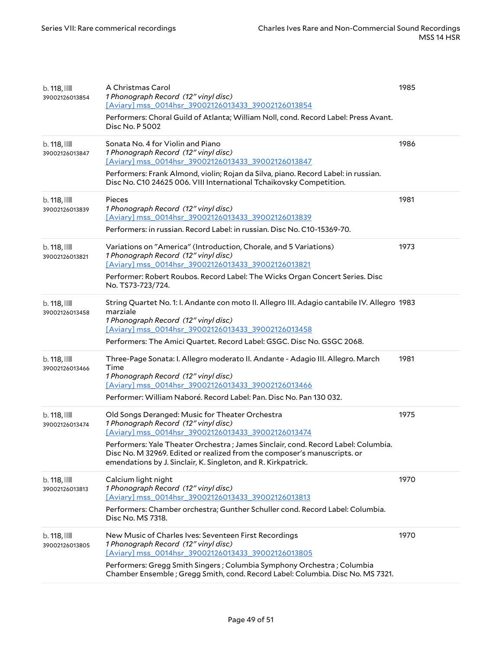| b. 118,<br>39002126013854 | A Christmas Carol<br>1 Phonograph Record (12" vinyl disc)<br>[Aviary] mss 0014hsr 39002126013433 39002126013854<br>Performers: Choral Guild of Atlanta; William Noll, cond. Record Label: Press Avant.<br>Disc No. P 5002                                                                                                                                                       | 1985 |
|---------------------------|---------------------------------------------------------------------------------------------------------------------------------------------------------------------------------------------------------------------------------------------------------------------------------------------------------------------------------------------------------------------------------|------|
| b. 118,<br>39002126013847 | Sonata No. 4 for Violin and Piano<br>1 Phonograph Record (12" vinyl disc)<br>[Aviary] mss 0014hsr 39002126013433 39002126013847<br>Performers: Frank Almond, violin; Rojan da Silva, piano. Record Label: in russian.<br>Disc No. C10 24625 006. VIII International Tchaikovsky Competition.                                                                                    | 1986 |
| b. 118,<br>39002126013839 | Pieces<br>1 Phonograph Record (12" vinyl disc)<br>[Aviary] mss_0014hsr_39002126013433_39002126013839<br>Performers: in russian. Record Label: in russian. Disc No. C10-15369-70.                                                                                                                                                                                                | 1981 |
| b. 118,<br>39002126013821 | Variations on "America" (Introduction, Chorale, and 5 Variations)<br>1 Phonograph Record (12" vinyl disc)<br>[Aviary] mss 0014hsr 39002126013433 39002126013821<br>Performer: Robert Roubos. Record Label: The Wicks Organ Concert Series. Disc<br>No. TS73-723/724.                                                                                                            | 1973 |
| b. 118,<br>39002126013458 | String Quartet No. 1: I. Andante con moto II. Allegro III. Adagio cantabile IV. Allegro 1983<br>marziale<br>1 Phonograph Record (12" vinyl disc)<br>[Aviary] mss 0014hsr 39002126013433 39002126013458<br>Performers: The Amici Quartet. Record Label: GSGC. Disc No. GSGC 2068.                                                                                                |      |
| b. 118,<br>39002126013466 | Three-Page Sonata: I. Allegro moderato II. Andante - Adagio III. Allegro. March<br>Time<br>1 Phonograph Record (12" vinyl disc)<br>[Aviary] mss 0014hsr 39002126013433 39002126013466<br>Performer: William Naboré, Record Label: Pan. Disc No. Pan 130 032.                                                                                                                    | 1981 |
| b. 118,<br>39002126013474 | Old Songs Deranged: Music for Theater Orchestra<br>1 Phonograph Record (12" vinyl disc)<br>[Aviary] mss 0014hsr 39002126013433 39002126013474<br>Performers: Yale Theater Orchestra; James Sinclair, cond. Record Label: Columbia.<br>Disc No. M 32969. Edited or realized from the composer's manuscripts. or<br>emendations by J. Sinclair, K. Singleton, and R. Kirkpatrick. | 1975 |
| b. 118,<br>39002126013813 | Calcium light night<br>1 Phonograph Record (12" vinyl disc)<br>[Aviary] mss_0014hsr_39002126013433_39002126013813<br>Performers: Chamber orchestra; Gunther Schuller cond. Record Label: Columbia.<br>Disc No. MS 7318.                                                                                                                                                         | 1970 |
| b. 118,<br>39002126013805 | New Music of Charles Ives: Seventeen First Recordings<br>1 Phonograph Record (12" vinyl disc)<br>[Aviary] mss 0014hsr 39002126013433 39002126013805<br>Performers: Gregg Smith Singers ; Columbia Symphony Orchestra ; Columbia<br>Chamber Ensemble; Gregg Smith, cond. Record Label: Columbia. Disc No. MS 7321.                                                               | 1970 |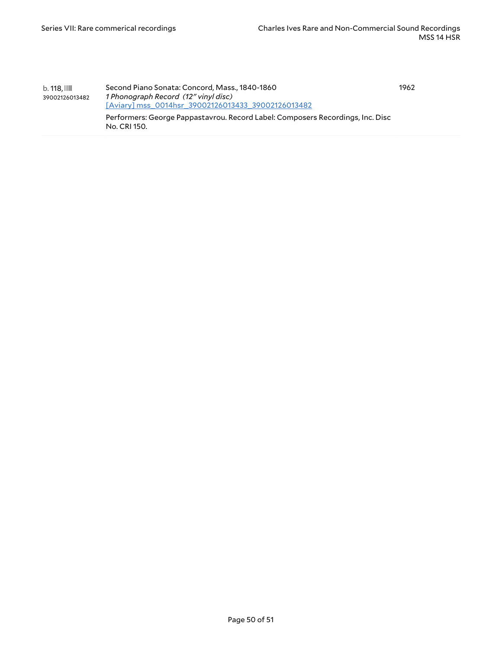| b. 118, IIII<br>39002126013482 | Second Piano Sonata: Concord, Mass., 1840-1860<br>1 Phonograph Record (12" vinyl disc)<br>[Aviary] mss 0014hsr 39002126013433 39002126013482 | 1962 |
|--------------------------------|----------------------------------------------------------------------------------------------------------------------------------------------|------|
|                                | Performers: George Pappastavrou. Record Label: Composers Recordings, Inc. Disc<br>No. CRI 150.                                               |      |